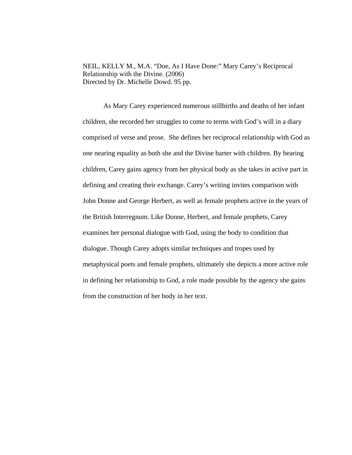NEIL, KELLY M., M.A. "Doe, As I Have Done:" Mary Carey's Reciprocal Relationship with the Divine. (2006) Directed by Dr. Michelle Dowd. 95 pp.

As Mary Carey experienced numerous stillbirths and deaths of her infant children, she recorded her struggles to come to terms with God's will in a diary comprised of verse and prose. She defines her reciprocal relationship with God as one nearing equality as both she and the Divine barter with children. By bearing children, Carey gains agency from her physical body as she takes in active part in defining and creating their exchange. Carey's writing invites comparison with John Donne and George Herbert, as well as female prophets active in the years of the British Interregnum. Like Donne, Herbert, and female prophets, Carey examines her personal dialogue with God, using the body to condition that dialogue. Though Carey adopts similar techniques and tropes used by metaphysical poets and female prophets, ultimately she depicts a more active role in defining her relationship to God, a role made possible by the agency she gains from the construction of her body in her text.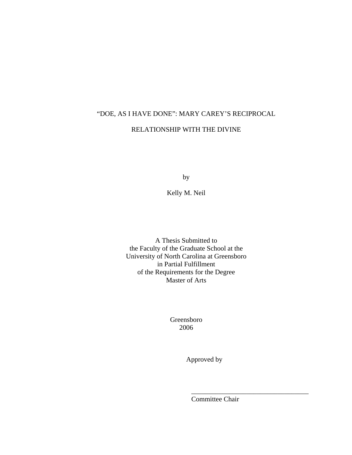# "DOE, AS I HAVE DONE": MARY CAREY'S RECIPROCAL

#### RELATIONSHIP WITH THE DIVINE

by

Kelly M. Neil

A Thesis Submitted to the Faculty of the Graduate School at the University of North Carolina at Greensboro in Partial Fulfillment of the Requirements for the Degree Master of Arts

> Greensboro 2006

 $\overline{\phantom{a}}$  , which is a set of the contract of the contract of the contract of the contract of the contract of the contract of the contract of the contract of the contract of the contract of the contract of the contract

Approved by

Committee Chair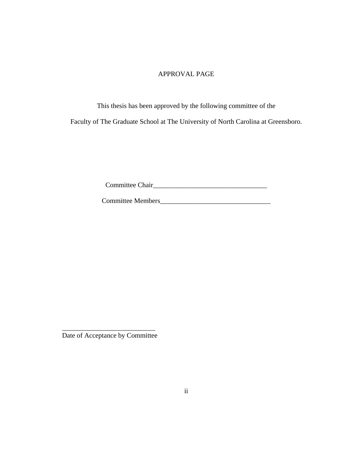#### APPROVAL PAGE

This thesis has been approved by the following committee of the Faculty of The Graduate School at The University of North Carolina at Greensboro.

Committee Chair\_\_\_\_\_\_\_\_\_\_\_\_\_\_\_\_\_\_\_\_\_\_\_\_\_\_\_\_\_\_\_\_\_

Committee Members\_\_\_\_\_\_\_\_\_\_\_\_\_\_\_\_\_\_\_\_\_\_\_\_\_\_\_\_\_\_\_\_

\_\_\_\_\_\_\_\_\_\_\_\_\_\_\_\_\_\_\_\_\_\_\_\_\_\_\_ Date of Acceptance by Committee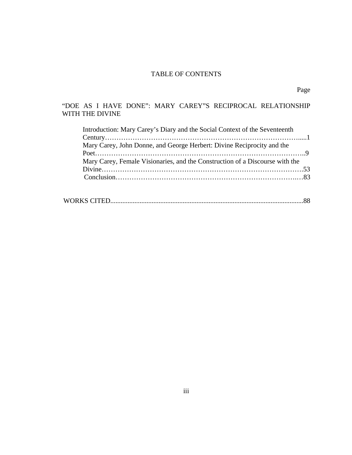## TABLE OF CONTENTS

### "DOE AS I HAVE DONE": MARY CAREY"S RECIPROCAL RELATIONSHIP WITH THE DIVINE

| Introduction: Mary Carey's Diary and the Social Context of the Seventeenth   |  |
|------------------------------------------------------------------------------|--|
|                                                                              |  |
| Mary Carey, John Donne, and George Herbert: Divine Reciprocity and the       |  |
|                                                                              |  |
| Mary Carey, Female Visionaries, and the Construction of a Discourse with the |  |
|                                                                              |  |
|                                                                              |  |
|                                                                              |  |

|--|--|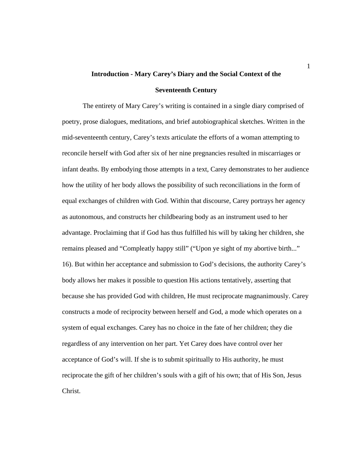# **Introduction - Mary Carey's Diary and the Social Context of the Seventeenth Century**

 The entirety of Mary Carey's writing is contained in a single diary comprised of poetry, prose dialogues, meditations, and brief autobiographical sketches. Written in the mid-seventeenth century, Carey's texts articulate the efforts of a woman attempting to reconcile herself with God after six of her nine pregnancies resulted in miscarriages or infant deaths. By embodying those attempts in a text, Carey demonstrates to her audience how the utility of her body allows the possibility of such reconciliations in the form of equal exchanges of children with God. Within that discourse, Carey portrays her agency as autonomous, and constructs her childbearing body as an instrument used to her advantage. Proclaiming that if God has thus fulfilled his will by taking her children, she remains pleased and "Compleatly happy still" ("Upon ye sight of my abortive birth..." 16). But within her acceptance and submission to God's decisions, the authority Carey's body allows her makes it possible to question His actions tentatively, asserting that because she has provided God with children, He must reciprocate magnanimously. Carey constructs a mode of reciprocity between herself and God, a mode which operates on a system of equal exchanges. Carey has no choice in the fate of her children; they die regardless of any intervention on her part. Yet Carey does have control over her acceptance of God's will. If she is to submit spiritually to His authority, he must reciprocate the gift of her children's souls with a gift of his own; that of His Son, Jesus Christ.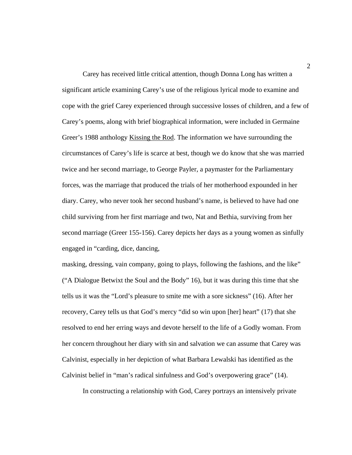Carey has received little critical attention, though Donna Long has written a significant article examining Carey's use of the religious lyrical mode to examine and cope with the grief Carey experienced through successive losses of children, and a few of Carey's poems, along with brief biographical information, were included in Germaine Greer's 1988 anthology Kissing the Rod. The information we have surrounding the circumstances of Carey's life is scarce at best, though we do know that she was married twice and her second marriage, to George Payler, a paymaster for the Parliamentary forces, was the marriage that produced the trials of her motherhood expounded in her diary. Carey, who never took her second husband's name, is believed to have had one child surviving from her first marriage and two, Nat and Bethia, surviving from her second marriage (Greer 155-156). Carey depicts her days as a young women as sinfully engaged in "carding, dice, dancing,

masking, dressing, vain company, going to plays, following the fashions, and the like" ("A Dialogue Betwixt the Soul and the Body" 16), but it was during this time that she tells us it was the "Lord's pleasure to smite me with a sore sickness" (16). After her recovery, Carey tells us that God's mercy "did so win upon [her] heart" (17) that she resolved to end her erring ways and devote herself to the life of a Godly woman. From her concern throughout her diary with sin and salvation we can assume that Carey was Calvinist, especially in her depiction of what Barbara Lewalski has identified as the Calvinist belief in "man's radical sinfulness and God's overpowering grace" (14).

In constructing a relationship with God, Carey portrays an intensively private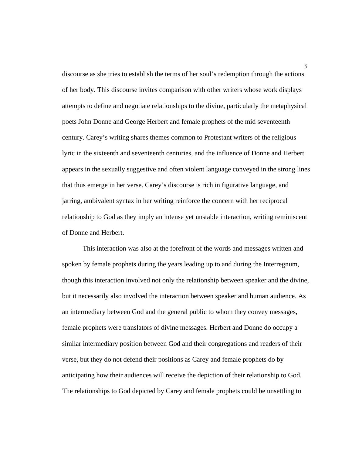discourse as she tries to establish the terms of her soul's redemption through the actions of her body. This discourse invites comparison with other writers whose work displays attempts to define and negotiate relationships to the divine, particularly the metaphysical poets John Donne and George Herbert and female prophets of the mid seventeenth century. Carey's writing shares themes common to Protestant writers of the religious lyric in the sixteenth and seventeenth centuries, and the influence of Donne and Herbert appears in the sexually suggestive and often violent language conveyed in the strong lines that thus emerge in her verse. Carey's discourse is rich in figurative language, and jarring, ambivalent syntax in her writing reinforce the concern with her reciprocal relationship to God as they imply an intense yet unstable interaction, writing reminiscent of Donne and Herbert.

 This interaction was also at the forefront of the words and messages written and spoken by female prophets during the years leading up to and during the Interregnum, though this interaction involved not only the relationship between speaker and the divine, but it necessarily also involved the interaction between speaker and human audience. As an intermediary between God and the general public to whom they convey messages, female prophets were translators of divine messages. Herbert and Donne do occupy a similar intermediary position between God and their congregations and readers of their verse, but they do not defend their positions as Carey and female prophets do by anticipating how their audiences will receive the depiction of their relationship to God. The relationships to God depicted by Carey and female prophets could be unsettling to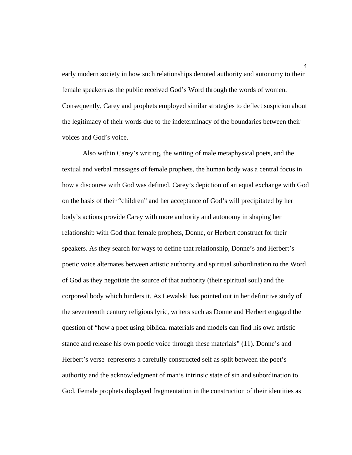early modern society in how such relationships denoted authority and autonomy to their female speakers as the public received God's Word through the words of women. Consequently, Carey and prophets employed similar strategies to deflect suspicion about the legitimacy of their words due to the indeterminacy of the boundaries between their voices and God's voice.

 Also within Carey's writing, the writing of male metaphysical poets, and the textual and verbal messages of female prophets, the human body was a central focus in how a discourse with God was defined. Carey's depiction of an equal exchange with God on the basis of their "children" and her acceptance of God's will precipitated by her body's actions provide Carey with more authority and autonomy in shaping her relationship with God than female prophets, Donne, or Herbert construct for their speakers. As they search for ways to define that relationship, Donne's and Herbert's poetic voice alternates between artistic authority and spiritual subordination to the Word of God as they negotiate the source of that authority (their spiritual soul) and the corporeal body which hinders it. As Lewalski has pointed out in her definitive study of the seventeenth century religious lyric, writers such as Donne and Herbert engaged the question of "how a poet using biblical materials and models can find his own artistic stance and release his own poetic voice through these materials" (11). Donne's and Herbert's verse represents a carefully constructed self as split between the poet's authority and the acknowledgment of man's intrinsic state of sin and subordination to God. Female prophets displayed fragmentation in the construction of their identities as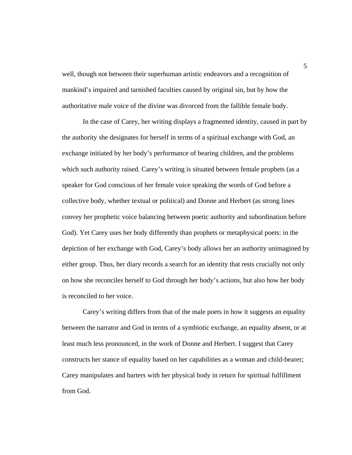well, though not between their superhuman artistic endeavors and a recognition of mankind's impaired and tarnished faculties caused by original sin, but by how the authoritative male voice of the divine was divorced from the fallible female body.

 In the case of Carey, her writing displays a fragmented identity, caused in part by the authority she designates for herself in terms of a spiritual exchange with God, an exchange initiated by her body's performance of bearing children, and the problems which such authority raised. Carey's writing is situated between female prophets (as a speaker for God conscious of her female voice speaking the words of God before a collective body, whether textual or political) and Donne and Herbert (as strong lines convey her prophetic voice balancing between poetic authority and subordination before God). Yet Carey uses her body differently than prophets or metaphysical poets: in the depiction of her exchange with God, Carey's body allows her an authority unimagined by either group. Thus, her diary records a search for an identity that rests crucially not only on how she reconciles herself to God through her body's actions, but also how her body is reconciled to her voice.

 Carey's writing differs from that of the male poets in how it suggests an equality between the narrator and God in terms of a symbiotic exchange, an equality absent, or at least much less pronounced, in the work of Donne and Herbert. I suggest that Carey constructs her stance of equality based on her capabilities as a woman and child-bearer; Carey manipulates and barters with her physical body in return for spiritual fulfillment from God.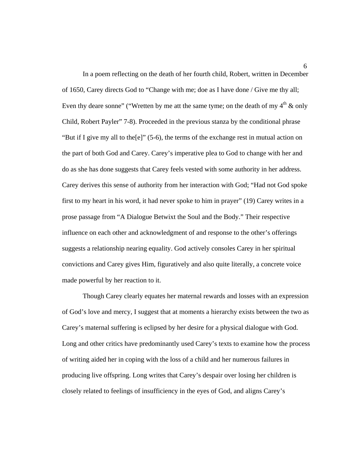In a poem reflecting on the death of her fourth child, Robert, written in December of 1650, Carey directs God to "Change with me; doe as I have done / Give me thy all; Even thy deare sonne" ("Wretten by me att the same tyme; on the death of my  $4<sup>th</sup>$  & only Child, Robert Payler" 7-8). Proceeded in the previous stanza by the conditional phrase "But if I give my all to the[e]" (5-6), the terms of the exchange rest in mutual action on the part of both God and Carey. Carey's imperative plea to God to change with her and do as she has done suggests that Carey feels vested with some authority in her address. Carey derives this sense of authority from her interaction with God; "Had not God spoke first to my heart in his word, it had never spoke to him in prayer" (19) Carey writes in a prose passage from "A Dialogue Betwixt the Soul and the Body." Their respective influence on each other and acknowledgment of and response to the other's offerings suggests a relationship nearing equality. God actively consoles Carey in her spiritual convictions and Carey gives Him, figuratively and also quite literally, a concrete voice made powerful by her reaction to it.

 Though Carey clearly equates her maternal rewards and losses with an expression of God's love and mercy, I suggest that at moments a hierarchy exists between the two as Carey's maternal suffering is eclipsed by her desire for a physical dialogue with God. Long and other critics have predominantly used Carey's texts to examine how the process of writing aided her in coping with the loss of a child and her numerous failures in producing live offspring. Long writes that Carey's despair over losing her children is closely related to feelings of insufficiency in the eyes of God, and aligns Carey's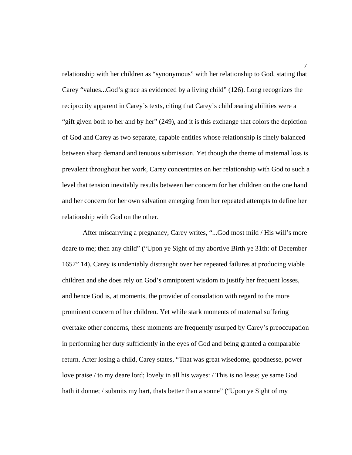relationship with her children as "synonymous" with her relationship to God, stating that Carey "values...God's grace as evidenced by a living child" (126). Long recognizes the reciprocity apparent in Carey's texts, citing that Carey's childbearing abilities were a "gift given both to her and by her" (249), and it is this exchange that colors the depiction of God and Carey as two separate, capable entities whose relationship is finely balanced between sharp demand and tenuous submission. Yet though the theme of maternal loss is prevalent throughout her work, Carey concentrates on her relationship with God to such a level that tension inevitably results between her concern for her children on the one hand and her concern for her own salvation emerging from her repeated attempts to define her relationship with God on the other.

 After miscarrying a pregnancy, Carey writes, "...God most mild / His will's more deare to me; then any child" ("Upon ye Sight of my abortive Birth ye 31th: of December 1657" 14). Carey is undeniably distraught over her repeated failures at producing viable children and she does rely on God's omnipotent wisdom to justify her frequent losses, and hence God is, at moments, the provider of consolation with regard to the more prominent concern of her children. Yet while stark moments of maternal suffering overtake other concerns, these moments are frequently usurped by Carey's preoccupation in performing her duty sufficiently in the eyes of God and being granted a comparable return. After losing a child, Carey states, "That was great wisedome, goodnesse, power love praise / to my deare lord; lovely in all his wayes: / This is no lesse; ye same God hath it donne; / submits my hart, thats better than a sonne" ("Upon ye Sight of my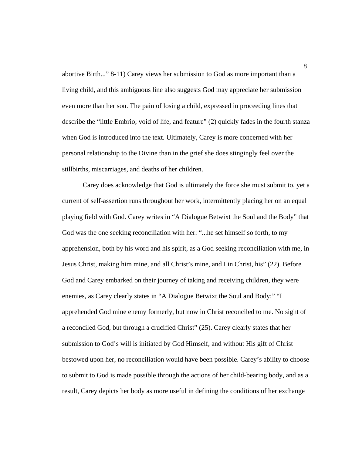abortive Birth..." 8-11) Carey views her submission to God as more important than a living child, and this ambiguous line also suggests God may appreciate her submission even more than her son. The pain of losing a child, expressed in proceeding lines that describe the "little Embrio; void of life, and feature" (2) quickly fades in the fourth stanza when God is introduced into the text. Ultimately, Carey is more concerned with her personal relationship to the Divine than in the grief she does stingingly feel over the stillbirths, miscarriages, and deaths of her children.

 Carey does acknowledge that God is ultimately the force she must submit to, yet a current of self-assertion runs throughout her work, intermittently placing her on an equal playing field with God. Carey writes in "A Dialogue Betwixt the Soul and the Body" that God was the one seeking reconciliation with her: "...he set himself so forth, to my apprehension, both by his word and his spirit, as a God seeking reconciliation with me, in Jesus Christ, making him mine, and all Christ's mine, and I in Christ, his" (22). Before God and Carey embarked on their journey of taking and receiving children, they were enemies, as Carey clearly states in "A Dialogue Betwixt the Soul and Body:" "I apprehended God mine enemy formerly, but now in Christ reconciled to me. No sight of a reconciled God, but through a crucified Christ" (25). Carey clearly states that her submission to God's will is initiated by God Himself, and without His gift of Christ bestowed upon her, no reconciliation would have been possible. Carey's ability to choose to submit to God is made possible through the actions of her child-bearing body, and as a result, Carey depicts her body as more useful in defining the conditions of her exchange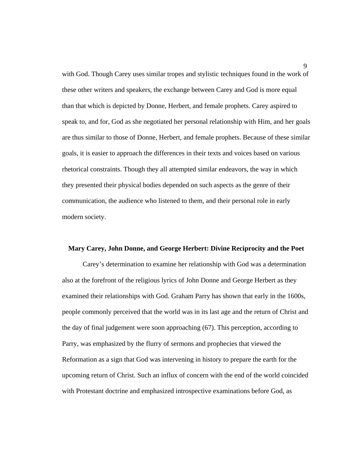with God. Though Carey uses similar tropes and stylistic techniques found in the work of these other writers and speakers, the exchange between Carey and God is more equal than that which is depicted by Donne, Herbert, and female prophets. Carey aspired to speak to, and for, God as she negotiated her personal relationship with Him, and her goals are thus similar to those of Donne, Herbert, and female prophets. Because of these similar goals, it is easier to approach the differences in their texts and voices based on various rhetorical constraints. Though they all attempted similar endeavors, the way in which they presented their physical bodies depended on such aspects as the genre of their communication, the audience who listened to them, and their personal role in early modern society.

#### **Mary Carey, John Donne, and George Herbert: Divine Reciprocity and the Poet**

 Carey's determination to examine her relationship with God was a determination also at the forefront of the religious lyrics of John Donne and George Herbert as they examined their relationships with God. Graham Parry has shown that early in the 1600s, people commonly perceived that the world was in its last age and the return of Christ and the day of final judgement were soon approaching (67). This perception, according to Parry, was emphasized by the flurry of sermons and prophecies that viewed the Reformation as a sign that God was intervening in history to prepare the earth for the upcoming return of Christ. Such an influx of concern with the end of the world coincided with Protestant doctrine and emphasized introspective examinations before God, as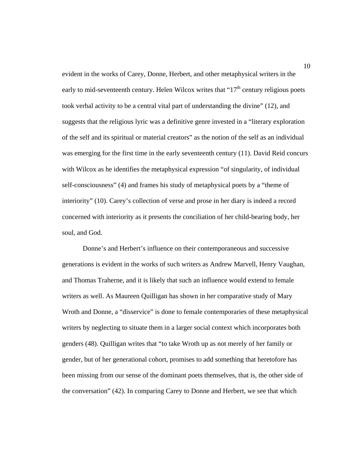evident in the works of Carey, Donne, Herbert, and other metaphysical writers in the early to mid-seventeenth century. Helen Wilcox writes that " $17<sup>th</sup>$  century religious poets took verbal activity to be a central vital part of understanding the divine" (12), and suggests that the religious lyric was a definitive genre invested in a "literary exploration of the self and its spiritual or material creators" as the notion of the self as an individual was emerging for the first time in the early seventeenth century (11). David Reid concurs with Wilcox as he identifies the metaphysical expression "of singularity, of individual self-consciousness" (4) and frames his study of metaphysical poets by a "theme of interiority" (10). Carey's collection of verse and prose in her diary is indeed a record concerned with interiority as it presents the conciliation of her child-bearing body, her soul, and God.

 Donne's and Herbert's influence on their contemporaneous and successive generations is evident in the works of such writers as Andrew Marvell, Henry Vaughan, and Thomas Traherne, and it is likely that such an influence would extend to female writers as well. As Maureen Quilligan has shown in her comparative study of Mary Wroth and Donne, a "disservice" is done to female contemporaries of these metaphysical writers by neglecting to situate them in a larger social context which incorporates both genders (48). Quilligan writes that "to take Wroth up as not merely of her family or gender, but of her generational cohort, promises to add something that heretofore has been missing from our sense of the dominant poets themselves, that is, the other side of the conversation" (42). In comparing Carey to Donne and Herbert, we see that which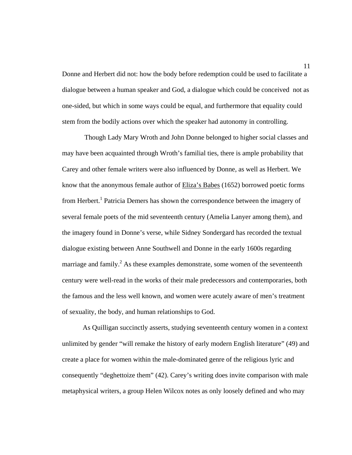Donne and Herbert did not: how the body before redemption could be used to facilitate a dialogue between a human speaker and God, a dialogue which could be conceived not as one-sided, but which in some ways could be equal, and furthermore that equality could stem from the bodily actions over which the speaker had autonomy in controlling.

 Though Lady Mary Wroth and John Donne belonged to higher social classes and may have been acquainted through Wroth's familial ties, there is ample probability that Carey and other female writers were also influenced by Donne, as well as Herbert. We know that the anonymous female author of Eliza's Babes (1652) borrowed poetic forms from Herbert.<sup>1</sup> Patricia Demers has shown the correspondence between the imagery of several female poets of the mid seventeenth century (Amelia Lanyer among them), and the imagery found in Donne's verse, while Sidney Sondergard has recorded the textual dialogue existing between Anne Southwell and Donne in the early 1600s regarding marriage and family.<sup>2</sup> As these examples demonstrate, some women of the seventeenth century were well-read in the works of their male predecessors and contemporaries, both the famous and the less well known, and women were acutely aware of men's treatment of sexuality, the body, and human relationships to God.

 As Quilligan succinctly asserts, studying seventeenth century women in a context unlimited by gender "will remake the history of early modern English literature" (49) and create a place for women within the male-dominated genre of the religious lyric and consequently "deghettoize them" (42). Carey's writing does invite comparison with male metaphysical writers, a group Helen Wilcox notes as only loosely defined and who may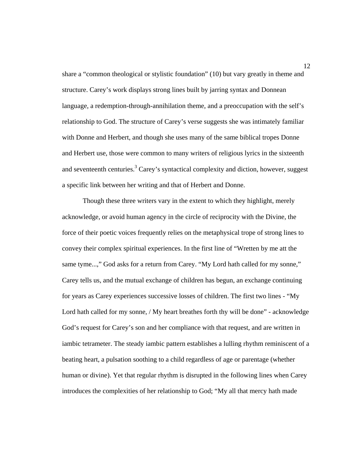share a "common theological or stylistic foundation" (10) but vary greatly in theme and structure. Carey's work displays strong lines built by jarring syntax and Donnean language, a redemption-through-annihilation theme, and a preoccupation with the self's relationship to God. The structure of Carey's verse suggests she was intimately familiar with Donne and Herbert, and though she uses many of the same biblical tropes Donne and Herbert use, those were common to many writers of religious lyrics in the sixteenth and seventeenth centuries.<sup>3</sup> Carey's syntactical complexity and diction, however, suggest a specific link between her writing and that of Herbert and Donne.

 Though these three writers vary in the extent to which they highlight, merely acknowledge, or avoid human agency in the circle of reciprocity with the Divine, the force of their poetic voices frequently relies on the metaphysical trope of strong lines to convey their complex spiritual experiences. In the first line of "Wretten by me att the same tyme...," God asks for a return from Carey. "My Lord hath called for my sonne," Carey tells us, and the mutual exchange of children has begun, an exchange continuing for years as Carey experiences successive losses of children. The first two lines - "My Lord hath called for my sonne, / My heart breathes forth thy will be done" - acknowledge God's request for Carey's son and her compliance with that request, and are written in iambic tetrameter. The steady iambic pattern establishes a lulling rhythm reminiscent of a beating heart, a pulsation soothing to a child regardless of age or parentage (whether human or divine). Yet that regular rhythm is disrupted in the following lines when Carey introduces the complexities of her relationship to God; "My all that mercy hath made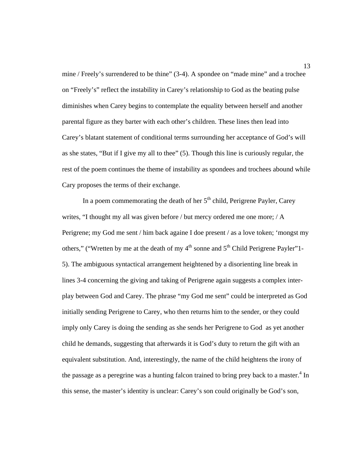mine / Freely's surrendered to be thine" (3-4). A spondee on "made mine" and a trochee on "Freely's" reflect the instability in Carey's relationship to God as the beating pulse diminishes when Carey begins to contemplate the equality between herself and another parental figure as they barter with each other's children. These lines then lead into Carey's blatant statement of conditional terms surrounding her acceptance of God's will as she states, "But if I give my all to thee" (5). Though this line is curiously regular, the rest of the poem continues the theme of instability as spondees and trochees abound while Cary proposes the terms of their exchange.

In a poem commemorating the death of her  $5<sup>th</sup>$  child, Perigrene Payler, Carey writes, "I thought my all was given before / but mercy ordered me one more; / A Perigrene; my God me sent / him back againe I doe present / as a love token; 'mongst my others," ("Wretten by me at the death of my  $4<sup>th</sup>$  sonne and  $5<sup>th</sup>$  Child Perigrene Payler"1-5). The ambiguous syntactical arrangement heightened by a disorienting line break in lines 3-4 concerning the giving and taking of Perigrene again suggests a complex interplay between God and Carey. The phrase "my God me sent" could be interpreted as God initially sending Perigrene to Carey, who then returns him to the sender, or they could imply only Carey is doing the sending as she sends her Perigrene to God as yet another child he demands, suggesting that afterwards it is God's duty to return the gift with an equivalent substitution. And, interestingly, the name of the child heightens the irony of the passage as a peregrine was a hunting falcon trained to bring prey back to a master.<sup>4</sup> In this sense, the master's identity is unclear: Carey's son could originally be God's son,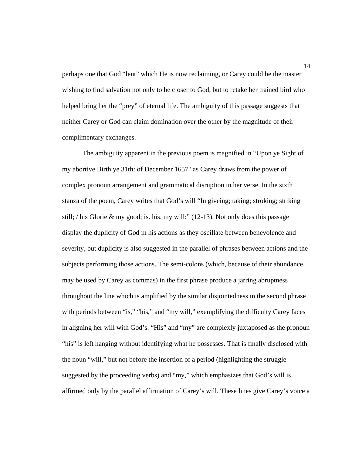perhaps one that God "lent" which He is now reclaiming, or Carey could be the master wishing to find salvation not only to be closer to God, but to retake her trained bird who helped bring her the "prey" of eternal life. The ambiguity of this passage suggests that neither Carey or God can claim domination over the other by the magnitude of their complimentary exchanges.

 The ambiguity apparent in the previous poem is magnified in "Upon ye Sight of my abortive Birth ye 31th: of December 1657" as Carey draws from the power of complex pronoun arrangement and grammatical disruption in her verse. In the sixth stanza of the poem, Carey writes that God's will "In giveing; taking; stroking; striking still; / his Glorie & my good; is. his. my will:"  $(12-13)$ . Not only does this passage display the duplicity of God in his actions as they oscillate between benevolence and severity, but duplicity is also suggested in the parallel of phrases between actions and the subjects performing those actions. The semi-colons (which, because of their abundance, may be used by Carey as commas) in the first phrase produce a jarring abruptness throughout the line which is amplified by the similar disjointedness in the second phrase with periods between "is," "his," and "my will," exemplifying the difficulty Carey faces in aligning her will with God's. "His" and "my" are complexly juxtaposed as the pronoun "his" is left hanging without identifying what he possesses. That is finally disclosed with the noun "will," but not before the insertion of a period (highlighting the struggle suggested by the proceeding verbs) and "my," which emphasizes that God's will is affirmed only by the parallel affirmation of Carey's will. These lines give Carey's voice a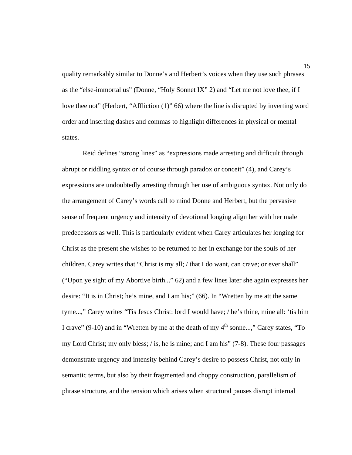quality remarkably similar to Donne's and Herbert's voices when they use such phrases as the "else-immortal us" (Donne, "Holy Sonnet IX" 2) and "Let me not love thee, if I love thee not" (Herbert, "Affliction (1)" 66) where the line is disrupted by inverting word order and inserting dashes and commas to highlight differences in physical or mental states.

 Reid defines "strong lines" as "expressions made arresting and difficult through abrupt or riddling syntax or of course through paradox or conceit" (4), and Carey's expressions are undoubtedly arresting through her use of ambiguous syntax. Not only do the arrangement of Carey's words call to mind Donne and Herbert, but the pervasive sense of frequent urgency and intensity of devotional longing align her with her male predecessors as well. This is particularly evident when Carey articulates her longing for Christ as the present she wishes to be returned to her in exchange for the souls of her children. Carey writes that "Christ is my all; / that I do want, can crave; or ever shall" ("Upon ye sight of my Abortive birth..." 62) and a few lines later she again expresses her desire: "It is in Christ; he's mine, and I am his;" (66). In "Wretten by me att the same tyme...," Carey writes "Tis Jesus Christ: lord I would have; / he's thine, mine all: 'tis him I crave" (9-10) and in "Wretten by me at the death of my  $4<sup>th</sup>$  sonne...," Carey states, "To my Lord Christ; my only bless;  $\ell$  is, he is mine; and I am his" (7-8). These four passages demonstrate urgency and intensity behind Carey's desire to possess Christ, not only in semantic terms, but also by their fragmented and choppy construction, parallelism of phrase structure, and the tension which arises when structural pauses disrupt internal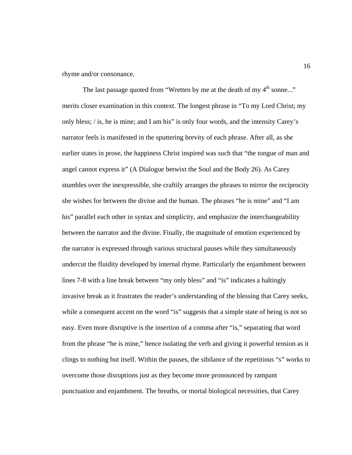rhyme and/or consonance.

The last passage quoted from "Wretten by me at the death of my 4<sup>th</sup> sonne..." merits closer examination in this context. The longest phrase in "To my Lord Christ; my only bless; / is, he is mine; and I am his" is only four words, and the intensity Carey's narrator feels is manifested in the sputtering brevity of each phrase. After all, as she earlier states in prose, the happiness Christ inspired was such that "the tongue of man and angel cannot express it" (A Dialogue betwixt the Soul and the Body 26). As Carey stumbles over the inexpressible, she craftily arranges the phrases to mirror the reciprocity she wishes for between the divine and the human. The phrases "he is mine" and "I am his" parallel each other in syntax and simplicity, and emphasize the interchangeability between the narrator and the divine. Finally, the magnitude of emotion experienced by the narrator is expressed through various structural pauses while they simultaneously undercut the fluidity developed by internal rhyme. Particularly the enjambment between lines 7-8 with a line break between "my only bless" and "is" indicates a haltingly invasive break as it frustrates the reader's understanding of the blessing that Carey seeks, while a consequent accent on the word "is" suggests that a simple state of being is not so easy. Even more disruptive is the insertion of a comma after "is," separating that word from the phrase "he is mine," hence isolating the verb and giving it powerful tension as it clings to nothing but itself. Within the pauses, the sibilance of the repetitious "s" works to overcome those disruptions just as they become more pronounced by rampant punctuation and enjambment. The breaths, or mortal biological necessities, that Carey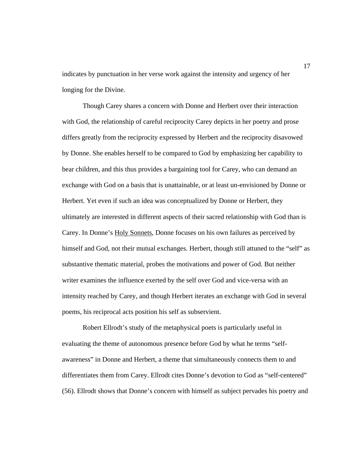indicates by punctuation in her verse work against the intensity and urgency of her longing for the Divine.

 Though Carey shares a concern with Donne and Herbert over their interaction with God, the relationship of careful reciprocity Carey depicts in her poetry and prose differs greatly from the reciprocity expressed by Herbert and the reciprocity disavowed by Donne. She enables herself to be compared to God by emphasizing her capability to bear children, and this thus provides a bargaining tool for Carey, who can demand an exchange with God on a basis that is unattainable, or at least un-envisioned by Donne or Herbert. Yet even if such an idea was conceptualized by Donne or Herbert, they ultimately are interested in different aspects of their sacred relationship with God than is Carey. In Donne's Holy Sonnets, Donne focuses on his own failures as perceived by himself and God, not their mutual exchanges. Herbert, though still attuned to the "self" as substantive thematic material, probes the motivations and power of God. But neither writer examines the influence exerted by the self over God and vice-versa with an intensity reached by Carey, and though Herbert iterates an exchange with God in several poems, his reciprocal acts position his self as subservient.

 Robert Ellrodt's study of the metaphysical poets is particularly useful in evaluating the theme of autonomous presence before God by what he terms "selfawareness" in Donne and Herbert, a theme that simultaneously connects them to and differentiates them from Carey. Ellrodt cites Donne's devotion to God as "self-centered" (56). Ellrodt shows that Donne's concern with himself as subject pervades his poetry and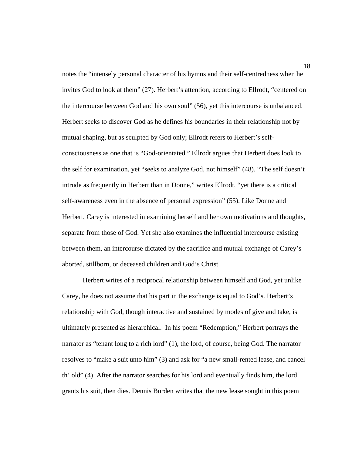notes the "intensely personal character of his hymns and their self-centredness when he invites God to look at them" (27). Herbert's attention, according to Ellrodt, "centered on the intercourse between God and his own soul" (56), yet this intercourse is unbalanced. Herbert seeks to discover God as he defines his boundaries in their relationship not by mutual shaping, but as sculpted by God only; Ellrodt refers to Herbert's selfconsciousness as one that is "God-orientated." Ellrodt argues that Herbert does look to the self for examination, yet "seeks to analyze God, not himself" (48). "The self doesn't intrude as frequently in Herbert than in Donne," writes Ellrodt, "yet there is a critical self-awareness even in the absence of personal expression" (55). Like Donne and Herbert, Carey is interested in examining herself and her own motivations and thoughts, separate from those of God. Yet she also examines the influential intercourse existing between them, an intercourse dictated by the sacrifice and mutual exchange of Carey's aborted, stillborn, or deceased children and God's Christ.

 Herbert writes of a reciprocal relationship between himself and God, yet unlike Carey, he does not assume that his part in the exchange is equal to God's. Herbert's relationship with God, though interactive and sustained by modes of give and take, is ultimately presented as hierarchical. In his poem "Redemption," Herbert portrays the narrator as "tenant long to a rich lord" (1), the lord, of course, being God. The narrator resolves to "make a suit unto him" (3) and ask for "a new small-rented lease, and cancel th' old" (4). After the narrator searches for his lord and eventually finds him, the lord grants his suit, then dies. Dennis Burden writes that the new lease sought in this poem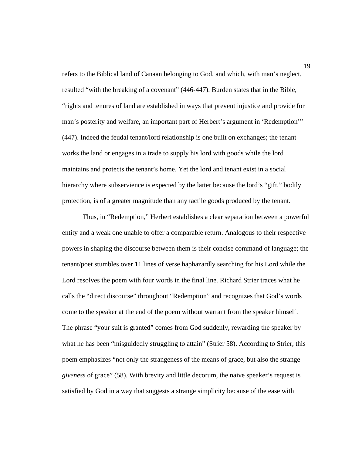refers to the Biblical land of Canaan belonging to God, and which, with man's neglect, resulted "with the breaking of a covenant" (446-447). Burden states that in the Bible, "rights and tenures of land are established in ways that prevent injustice and provide for man's posterity and welfare, an important part of Herbert's argument in 'Redemption'" (447). Indeed the feudal tenant/lord relationship is one built on exchanges; the tenant works the land or engages in a trade to supply his lord with goods while the lord maintains and protects the tenant's home. Yet the lord and tenant exist in a social hierarchy where subservience is expected by the latter because the lord's "gift," bodily protection, is of a greater magnitude than any tactile goods produced by the tenant.

 Thus, in "Redemption," Herbert establishes a clear separation between a powerful entity and a weak one unable to offer a comparable return. Analogous to their respective powers in shaping the discourse between them is their concise command of language; the tenant/poet stumbles over 11 lines of verse haphazardly searching for his Lord while the Lord resolves the poem with four words in the final line. Richard Strier traces what he calls the "direct discourse" throughout "Redemption" and recognizes that God's words come to the speaker at the end of the poem without warrant from the speaker himself. The phrase "your suit is granted" comes from God suddenly, rewarding the speaker by what he has been "misguidedly struggling to attain" (Strier 58). According to Strier, this poem emphasizes "not only the strangeness of the means of grace, but also the strange *giveness* of grace" (58). With brevity and little decorum, the naive speaker's request is satisfied by God in a way that suggests a strange simplicity because of the ease with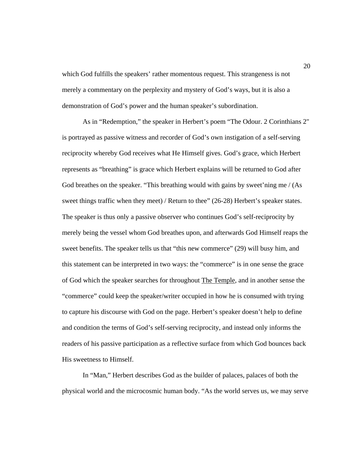which God fulfills the speakers' rather momentous request. This strangeness is not merely a commentary on the perplexity and mystery of God's ways, but it is also a demonstration of God's power and the human speaker's subordination.

 As in "Redemption," the speaker in Herbert's poem "The Odour. 2 Corinthians 2" is portrayed as passive witness and recorder of God's own instigation of a self-serving reciprocity whereby God receives what He Himself gives. God's grace, which Herbert represents as "breathing" is grace which Herbert explains will be returned to God after God breathes on the speaker. "This breathing would with gains by sweet'ning me / (As sweet things traffic when they meet) / Return to thee" (26-28) Herbert's speaker states. The speaker is thus only a passive observer who continues God's self-reciprocity by merely being the vessel whom God breathes upon, and afterwards God Himself reaps the sweet benefits. The speaker tells us that "this new commerce" (29) will busy him, and this statement can be interpreted in two ways: the "commerce" is in one sense the grace of God which the speaker searches for throughout The Temple, and in another sense the "commerce" could keep the speaker/writer occupied in how he is consumed with trying to capture his discourse with God on the page. Herbert's speaker doesn't help to define and condition the terms of God's self-serving reciprocity, and instead only informs the readers of his passive participation as a reflective surface from which God bounces back His sweetness to Himself.

 In "Man," Herbert describes God as the builder of palaces, palaces of both the physical world and the microcosmic human body. "As the world serves us, we may serve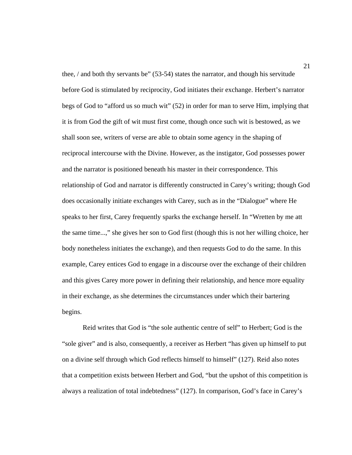thee, / and both thy servants be" (53-54) states the narrator, and though his servitude before God is stimulated by reciprocity, God initiates their exchange. Herbert's narrator begs of God to "afford us so much wit" (52) in order for man to serve Him, implying that it is from God the gift of wit must first come, though once such wit is bestowed, as we shall soon see, writers of verse are able to obtain some agency in the shaping of reciprocal intercourse with the Divine. However, as the instigator, God possesses power and the narrator is positioned beneath his master in their correspondence. This relationship of God and narrator is differently constructed in Carey's writing; though God does occasionally initiate exchanges with Carey, such as in the "Dialogue" where He speaks to her first, Carey frequently sparks the exchange herself. In "Wretten by me att the same time...," she gives her son to God first (though this is not her willing choice, her body nonetheless initiates the exchange), and then requests God to do the same. In this example, Carey entices God to engage in a discourse over the exchange of their children and this gives Carey more power in defining their relationship, and hence more equality in their exchange, as she determines the circumstances under which their bartering begins.

 Reid writes that God is "the sole authentic centre of self" to Herbert; God is the "sole giver" and is also, consequently, a receiver as Herbert "has given up himself to put on a divine self through which God reflects himself to himself" (127). Reid also notes that a competition exists between Herbert and God, "but the upshot of this competition is always a realization of total indebtedness" (127). In comparison, God's face in Carey's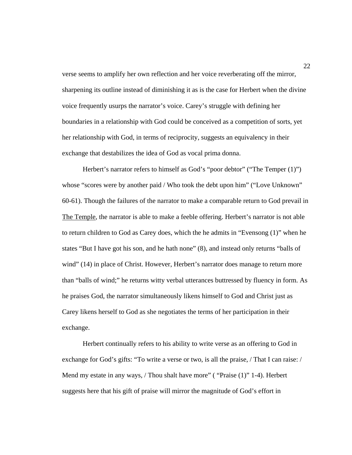verse seems to amplify her own reflection and her voice reverberating off the mirror, sharpening its outline instead of diminishing it as is the case for Herbert when the divine voice frequently usurps the narrator's voice. Carey's struggle with defining her boundaries in a relationship with God could be conceived as a competition of sorts, yet her relationship with God, in terms of reciprocity, suggests an equivalency in their exchange that destabilizes the idea of God as vocal prima donna.

Herbert's narrator refers to himself as God's "poor debtor" ("The Temper  $(1)$ ") whose "scores were by another paid / Who took the debt upon him" ("Love Unknown" 60-61). Though the failures of the narrator to make a comparable return to God prevail in The Temple, the narrator is able to make a feeble offering. Herbert's narrator is not able to return children to God as Carey does, which the he admits in "Evensong (1)" when he states "But I have got his son, and he hath none" (8), and instead only returns "balls of wind" (14) in place of Christ. However, Herbert's narrator does manage to return more than "balls of wind;" he returns witty verbal utterances buttressed by fluency in form. As he praises God, the narrator simultaneously likens himself to God and Christ just as Carey likens herself to God as she negotiates the terms of her participation in their exchange.

 Herbert continually refers to his ability to write verse as an offering to God in exchange for God's gifts: "To write a verse or two, is all the praise, / That I can raise: / Mend my estate in any ways, / Thou shalt have more" ( "Praise (1)" 1-4). Herbert suggests here that his gift of praise will mirror the magnitude of God's effort in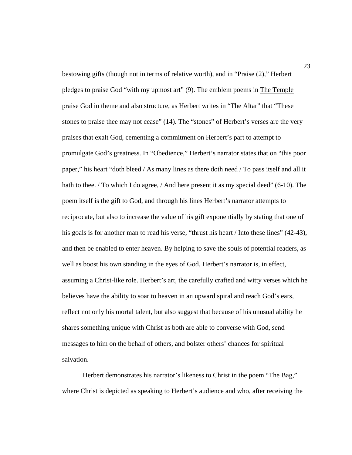bestowing gifts (though not in terms of relative worth), and in "Praise (2)," Herbert pledges to praise God "with my upmost art" (9). The emblem poems in The Temple praise God in theme and also structure, as Herbert writes in "The Altar" that "These stones to praise thee may not cease" (14). The "stones" of Herbert's verses are the very praises that exalt God, cementing a commitment on Herbert's part to attempt to promulgate God's greatness. In "Obedience," Herbert's narrator states that on "this poor paper," his heart "doth bleed / As many lines as there doth need / To pass itself and all it hath to thee. / To which I do agree, / And here present it as my special deed" (6-10). The poem itself is the gift to God, and through his lines Herbert's narrator attempts to reciprocate, but also to increase the value of his gift exponentially by stating that one of his goals is for another man to read his verse, "thrust his heart / Into these lines" (42-43), and then be enabled to enter heaven. By helping to save the souls of potential readers, as well as boost his own standing in the eyes of God, Herbert's narrator is, in effect, assuming a Christ-like role. Herbert's art, the carefully crafted and witty verses which he believes have the ability to soar to heaven in an upward spiral and reach God's ears, reflect not only his mortal talent, but also suggest that because of his unusual ability he shares something unique with Christ as both are able to converse with God, send messages to him on the behalf of others, and bolster others' chances for spiritual salvation.

 Herbert demonstrates his narrator's likeness to Christ in the poem "The Bag," where Christ is depicted as speaking to Herbert's audience and who, after receiving the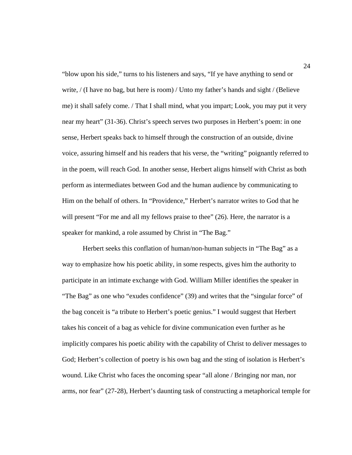"blow upon his side," turns to his listeners and says, "If ye have anything to send or write, / (I have no bag, but here is room) / Unto my father's hands and sight / (Believe me) it shall safely come. / That I shall mind, what you impart; Look, you may put it very near my heart" (31-36). Christ's speech serves two purposes in Herbert's poem: in one sense, Herbert speaks back to himself through the construction of an outside, divine voice, assuring himself and his readers that his verse, the "writing" poignantly referred to in the poem, will reach God. In another sense, Herbert aligns himself with Christ as both perform as intermediates between God and the human audience by communicating to Him on the behalf of others. In "Providence," Herbert's narrator writes to God that he will present "For me and all my fellows praise to thee" (26). Here, the narrator is a speaker for mankind, a role assumed by Christ in "The Bag."

Herbert seeks this conflation of human/non-human subjects in "The Bag" as a way to emphasize how his poetic ability, in some respects, gives him the authority to participate in an intimate exchange with God. William Miller identifies the speaker in "The Bag" as one who "exudes confidence" (39) and writes that the "singular force" of the bag conceit is "a tribute to Herbert's poetic genius." I would suggest that Herbert takes his conceit of a bag as vehicle for divine communication even further as he implicitly compares his poetic ability with the capability of Christ to deliver messages to God; Herbert's collection of poetry is his own bag and the sting of isolation is Herbert's wound. Like Christ who faces the oncoming spear "all alone / Bringing nor man, nor arms, nor fear" (27-28), Herbert's daunting task of constructing a metaphorical temple for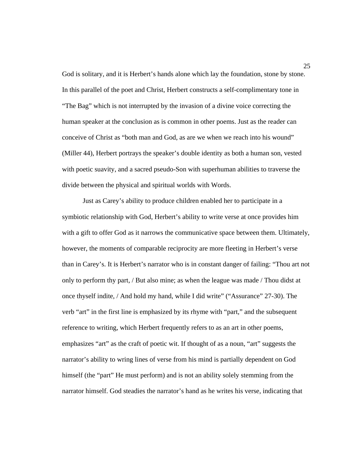God is solitary, and it is Herbert's hands alone which lay the foundation, stone by stone. In this parallel of the poet and Christ, Herbert constructs a self-complimentary tone in "The Bag" which is not interrupted by the invasion of a divine voice correcting the human speaker at the conclusion as is common in other poems. Just as the reader can conceive of Christ as "both man and God, as are we when we reach into his wound" (Miller 44), Herbert portrays the speaker's double identity as both a human son, vested with poetic suavity, and a sacred pseudo-Son with superhuman abilities to traverse the divide between the physical and spiritual worlds with Words.

 Just as Carey's ability to produce children enabled her to participate in a symbiotic relationship with God, Herbert's ability to write verse at once provides him with a gift to offer God as it narrows the communicative space between them. Ultimately, however, the moments of comparable reciprocity are more fleeting in Herbert's verse than in Carey's. It is Herbert's narrator who is in constant danger of failing: "Thou art not only to perform thy part, / But also mine; as when the league was made / Thou didst at once thyself indite, / And hold my hand, while I did write" ("Assurance" 27-30). The verb "art" in the first line is emphasized by its rhyme with "part," and the subsequent reference to writing, which Herbert frequently refers to as an art in other poems, emphasizes "art" as the craft of poetic wit. If thought of as a noun, "art" suggests the narrator's ability to wring lines of verse from his mind is partially dependent on God himself (the "part" He must perform) and is not an ability solely stemming from the narrator himself. God steadies the narrator's hand as he writes his verse, indicating that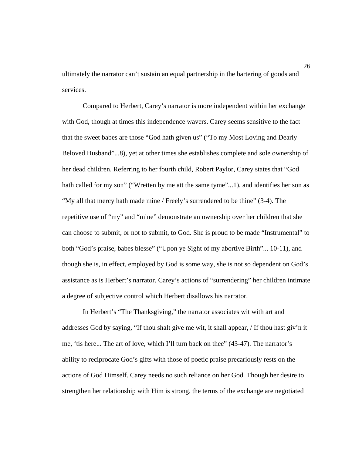ultimately the narrator can't sustain an equal partnership in the bartering of goods and services.

 Compared to Herbert, Carey's narrator is more independent within her exchange with God, though at times this independence wavers. Carey seems sensitive to the fact that the sweet babes are those "God hath given us" ("To my Most Loving and Dearly Beloved Husband"...8), yet at other times she establishes complete and sole ownership of her dead children. Referring to her fourth child, Robert Paylor, Carey states that "God hath called for my son" ("Wretten by me att the same tyme"...1), and identifies her son as "My all that mercy hath made mine / Freely's surrendered to be thine" (3-4). The repetitive use of "my" and "mine" demonstrate an ownership over her children that she can choose to submit, or not to submit, to God. She is proud to be made "Instrumental" to both "God's praise, babes blesse" ("Upon ye Sight of my abortive Birth"... 10-11), and though she is, in effect, employed by God is some way, she is not so dependent on God's assistance as is Herbert's narrator. Carey's actions of "surrendering" her children intimate a degree of subjective control which Herbert disallows his narrator.

 In Herbert's "The Thanksgiving," the narrator associates wit with art and addresses God by saying, "If thou shalt give me wit, it shall appear, / If thou hast giv'n it me, 'tis here... The art of love, which I'll turn back on thee" (43-47). The narrator's ability to reciprocate God's gifts with those of poetic praise precariously rests on the actions of God Himself. Carey needs no such reliance on her God. Though her desire to strengthen her relationship with Him is strong, the terms of the exchange are negotiated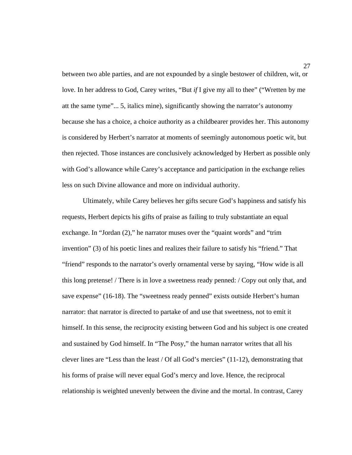between two able parties, and are not expounded by a single bestower of children, wit, or love. In her address to God, Carey writes, "But *if* I give my all to thee" ("Wretten by me att the same tyme"... 5, italics mine), significantly showing the narrator's autonomy because she has a choice, a choice authority as a childbearer provides her. This autonomy is considered by Herbert's narrator at moments of seemingly autonomous poetic wit, but then rejected. Those instances are conclusively acknowledged by Herbert as possible only with God's allowance while Carey's acceptance and participation in the exchange relies less on such Divine allowance and more on individual authority.

 Ultimately, while Carey believes her gifts secure God's happiness and satisfy his requests, Herbert depicts his gifts of praise as failing to truly substantiate an equal exchange. In "Jordan (2)," he narrator muses over the "quaint words" and "trim invention" (3) of his poetic lines and realizes their failure to satisfy his "friend." That "friend" responds to the narrator's overly ornamental verse by saying, "How wide is all this long pretense! / There is in love a sweetness ready penned: / Copy out only that, and save expense" (16-18). The "sweetness ready penned" exists outside Herbert's human narrator: that narrator is directed to partake of and use that sweetness, not to emit it himself. In this sense, the reciprocity existing between God and his subject is one created and sustained by God himself. In "The Posy," the human narrator writes that all his clever lines are "Less than the least / Of all God's mercies"  $(11-12)$ , demonstrating that his forms of praise will never equal God's mercy and love. Hence, the reciprocal relationship is weighted unevenly between the divine and the mortal. In contrast, Carey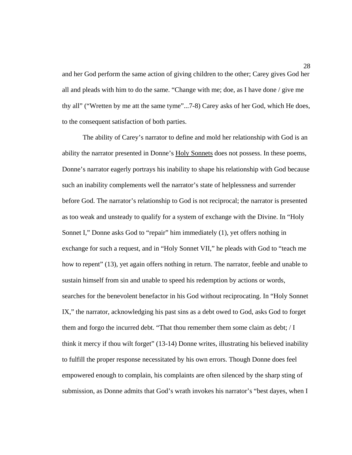28 and her God perform the same action of giving children to the other; Carey gives God her all and pleads with him to do the same. "Change with me; doe, as I have done / give me thy all" ("Wretten by me att the same tyme"...7-8) Carey asks of her God, which He does, to the consequent satisfaction of both parties.

 The ability of Carey's narrator to define and mold her relationship with God is an ability the narrator presented in Donne's Holy Sonnets does not possess. In these poems, Donne's narrator eagerly portrays his inability to shape his relationship with God because such an inability complements well the narrator's state of helplessness and surrender before God. The narrator's relationship to God is not reciprocal; the narrator is presented as too weak and unsteady to qualify for a system of exchange with the Divine. In "Holy Sonnet I," Donne asks God to "repair" him immediately (1), yet offers nothing in exchange for such a request, and in "Holy Sonnet VII," he pleads with God to "teach me how to repent" (13), yet again offers nothing in return. The narrator, feeble and unable to sustain himself from sin and unable to speed his redemption by actions or words, searches for the benevolent benefactor in his God without reciprocating. In "Holy Sonnet IX," the narrator, acknowledging his past sins as a debt owed to God, asks God to forget them and forgo the incurred debt. "That thou remember them some claim as debt;  $\overline{/}I$ think it mercy if thou wilt forget" (13-14) Donne writes, illustrating his believed inability to fulfill the proper response necessitated by his own errors. Though Donne does feel empowered enough to complain, his complaints are often silenced by the sharp sting of submission, as Donne admits that God's wrath invokes his narrator's "best dayes, when I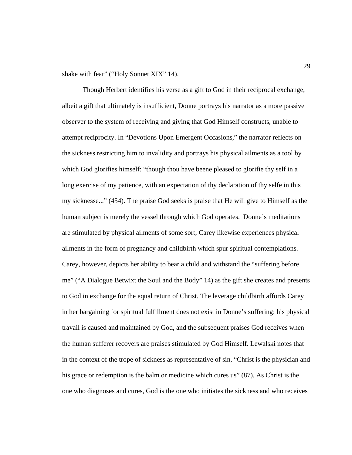shake with fear" ("Holy Sonnet XIX" 14).

 Though Herbert identifies his verse as a gift to God in their reciprocal exchange, albeit a gift that ultimately is insufficient, Donne portrays his narrator as a more passive observer to the system of receiving and giving that God Himself constructs, unable to attempt reciprocity. In "Devotions Upon Emergent Occasions," the narrator reflects on the sickness restricting him to invalidity and portrays his physical ailments as a tool by which God glorifies himself: "though thou have beene pleased to glorifie thy self in a long exercise of my patience, with an expectation of thy declaration of thy selfe in this my sicknesse..." (454). The praise God seeks is praise that He will give to Himself as the human subject is merely the vessel through which God operates. Donne's meditations are stimulated by physical ailments of some sort; Carey likewise experiences physical ailments in the form of pregnancy and childbirth which spur spiritual contemplations. Carey, however, depicts her ability to bear a child and withstand the "suffering before me" ("A Dialogue Betwixt the Soul and the Body" 14) as the gift she creates and presents to God in exchange for the equal return of Christ. The leverage childbirth affords Carey in her bargaining for spiritual fulfillment does not exist in Donne's suffering: his physical travail is caused and maintained by God, and the subsequent praises God receives when the human sufferer recovers are praises stimulated by God Himself. Lewalski notes that in the context of the trope of sickness as representative of sin, "Christ is the physician and his grace or redemption is the balm or medicine which cures us" (87). As Christ is the one who diagnoses and cures, God is the one who initiates the sickness and who receives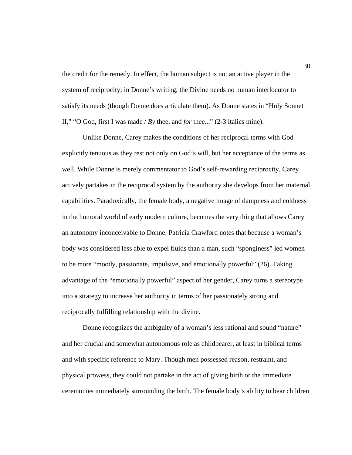the credit for the remedy. In effect, the human subject is not an active player in the system of reciprocity; in Donne's writing, the Divine needs no human interlocutor to satisfy its needs (though Donne does articulate them). As Donne states in "Holy Sonnet II," "O God, first I was made / *By* thee, and *for* thee..." (2-3 italics mine).

 Unlike Donne, Carey makes the conditions of her reciprocal terms with God explicitly tenuous as they rest not only on God's will, but her acceptance of the terms as well. While Donne is merely commentator to God's self-rewarding reciprocity, Carey actively partakes in the reciprocal system by the authority she develops from her maternal capabilities. Paradoxically, the female body, a negative image of dampness and coldness in the humoral world of early modern culture, becomes the very thing that allows Carey an autonomy inconceivable to Donne. Patricia Crawford notes that because a woman's body was considered less able to expel fluids than a man, such "sponginess" led women to be more "moody, passionate, impulsive, and emotionally powerful" (26). Taking advantage of the "emotionally powerful" aspect of her gender, Carey turns a stereotype into a strategy to increase her authority in terms of her passionately strong and reciprocally fulfilling relationship with the divine.

 Donne recognizes the ambiguity of a woman's less rational and sound "nature" and her crucial and somewhat autonomous role as childbearer, at least in biblical terms and with specific reference to Mary. Though men possessed reason, restraint, and physical prowess, they could not partake in the act of giving birth or the immediate ceremonies immediately surrounding the birth. The female body's ability to bear children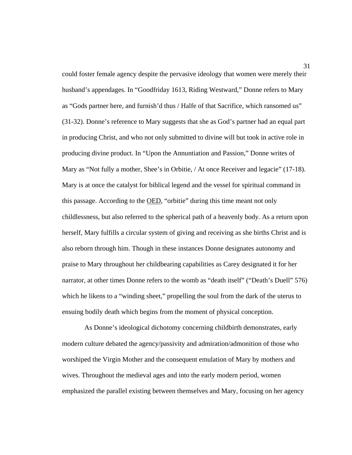could foster female agency despite the pervasive ideology that women were merely their husband's appendages. In "Goodfriday 1613, Riding Westward," Donne refers to Mary as "Gods partner here, and furnish'd thus / Halfe of that Sacrifice, which ransomed us" (31-32). Donne's reference to Mary suggests that she as God's partner had an equal part in producing Christ, and who not only submitted to divine will but took in active role in producing divine product. In "Upon the Annuntiation and Passion," Donne writes of Mary as "Not fully a mother, Shee's in Orbitie, / At once Receiver and legacie" (17-18). Mary is at once the catalyst for biblical legend and the vessel for spiritual command in this passage. According to the OED, "orbitie" during this time meant not only childlessness, but also referred to the spherical path of a heavenly body. As a return upon herself, Mary fulfills a circular system of giving and receiving as she births Christ and is also reborn through him. Though in these instances Donne designates autonomy and praise to Mary throughout her childbearing capabilities as Carey designated it for her narrator, at other times Donne refers to the womb as "death itself" ("Death's Duell" 576) which he likens to a "winding sheet," propelling the soul from the dark of the uterus to ensuing bodily death which begins from the moment of physical conception.

 As Donne's ideological dichotomy concerning childbirth demonstrates, early modern culture debated the agency/passivity and admiration/admonition of those who worshiped the Virgin Mother and the consequent emulation of Mary by mothers and wives. Throughout the medieval ages and into the early modern period, women emphasized the parallel existing between themselves and Mary, focusing on her agency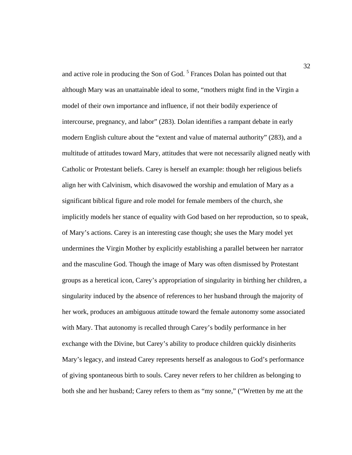and active role in producing the Son of God.<sup>5</sup> Frances Dolan has pointed out that although Mary was an unattainable ideal to some, "mothers might find in the Virgin a model of their own importance and influence, if not their bodily experience of intercourse, pregnancy, and labor" (283). Dolan identifies a rampant debate in early modern English culture about the "extent and value of maternal authority" (283), and a multitude of attitudes toward Mary, attitudes that were not necessarily aligned neatly with Catholic or Protestant beliefs. Carey is herself an example: though her religious beliefs align her with Calvinism, which disavowed the worship and emulation of Mary as a significant biblical figure and role model for female members of the church, she implicitly models her stance of equality with God based on her reproduction, so to speak, of Mary's actions. Carey is an interesting case though; she uses the Mary model yet undermines the Virgin Mother by explicitly establishing a parallel between her narrator and the masculine God. Though the image of Mary was often dismissed by Protestant groups as a heretical icon, Carey's appropriation of singularity in birthing her children, a singularity induced by the absence of references to her husband through the majority of her work, produces an ambiguous attitude toward the female autonomy some associated with Mary. That autonomy is recalled through Carey's bodily performance in her exchange with the Divine, but Carey's ability to produce children quickly disinherits Mary's legacy, and instead Carey represents herself as analogous to God's performance of giving spontaneous birth to souls. Carey never refers to her children as belonging to both she and her husband; Carey refers to them as "my sonne," ("Wretten by me att the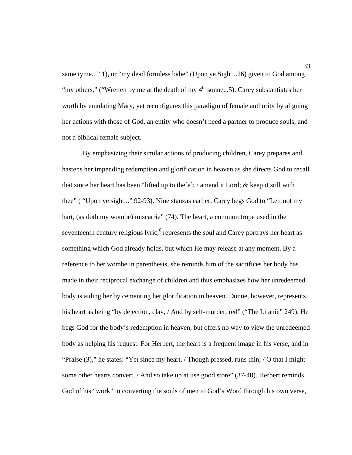same tyme..." 1), or "my dead formless babe" (Upon ye Sight...26) given to God among "my others," ("Wretten by me at the death of my  $4<sup>th</sup>$  sonne...5). Carey substantiates her worth by emulating Mary, yet reconfigures this paradigm of female authority by aligning her actions with those of God, an entity who doesn't need a partner to produce souls, and not a biblical female subject.

 By emphasizing their similar actions of producing children, Carey prepares and hastens her impending redemption and glorification in heaven as she directs God to recall that since her heart has been "lifted up to the [e]; / amend it Lord; & keep it still with thee" ( "Upon ye sight..." 92-93). Nine stanzas earlier, Carey begs God to "Lett not my hart, (as doth my wombe) miscarrie" (74). The heart, a common trope used in the seventeenth century religious lyric, $6$  represents the soul and Carey portrays her heart as something which God already holds, but which He may release at any moment. By a reference to her wombe in parenthesis, she reminds him of the sacrifices her body has made in their reciprocal exchange of children and thus emphasizes how her unredeemed body is aiding her by cementing her glorification in heaven. Donne, however, represents his heart as being "by dejection, clay, / And by self-murder, red" ("The Litanie" 249). He begs God for the body's redemption in heaven, but offers no way to view the unredeemed body as helping his request. For Herbert, the heart is a frequent image in his verse, and in "Praise (3)," he states: "Yet since my heart, / Though pressed, runs thin; / O that I might some other hearts convert, / And so take up at use good store" (37-40). Herbert reminds God of his "work" in converting the souls of men to God's Word through his own verse,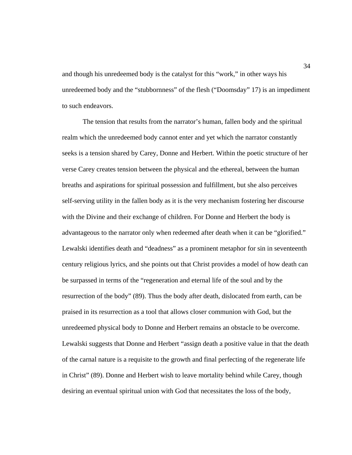and though his unredeemed body is the catalyst for this "work," in other ways his unredeemed body and the "stubbornness" of the flesh ("Doomsday" 17) is an impediment to such endeavors.

 The tension that results from the narrator's human, fallen body and the spiritual realm which the unredeemed body cannot enter and yet which the narrator constantly seeks is a tension shared by Carey, Donne and Herbert. Within the poetic structure of her verse Carey creates tension between the physical and the ethereal, between the human breaths and aspirations for spiritual possession and fulfillment, but she also perceives self-serving utility in the fallen body as it is the very mechanism fostering her discourse with the Divine and their exchange of children. For Donne and Herbert the body is advantageous to the narrator only when redeemed after death when it can be "glorified." Lewalski identifies death and "deadness" as a prominent metaphor for sin in seventeenth century religious lyrics, and she points out that Christ provides a model of how death can be surpassed in terms of the "regeneration and eternal life of the soul and by the resurrection of the body" (89). Thus the body after death, dislocated from earth, can be praised in its resurrection as a tool that allows closer communion with God, but the unredeemed physical body to Donne and Herbert remains an obstacle to be overcome. Lewalski suggests that Donne and Herbert "assign death a positive value in that the death of the carnal nature is a requisite to the growth and final perfecting of the regenerate life in Christ" (89). Donne and Herbert wish to leave mortality behind while Carey, though desiring an eventual spiritual union with God that necessitates the loss of the body,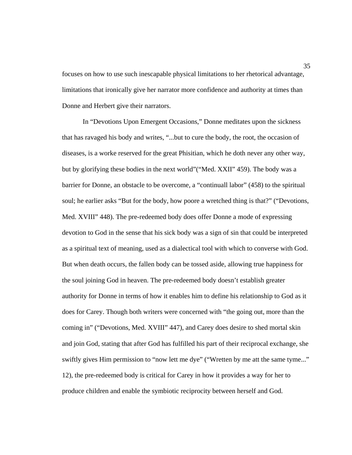focuses on how to use such inescapable physical limitations to her rhetorical advantage, limitations that ironically give her narrator more confidence and authority at times than Donne and Herbert give their narrators.

 In "Devotions Upon Emergent Occasions," Donne meditates upon the sickness that has ravaged his body and writes, "...but to cure the body, the root, the occasion of diseases, is a worke reserved for the great Phisitian, which he doth never any other way, but by glorifying these bodies in the next world"("Med. XXII" 459). The body was a barrier for Donne, an obstacle to be overcome, a "continuall labor" (458) to the spiritual soul; he earlier asks "But for the body, how poore a wretched thing is that?" ("Devotions, Med. XVIII" 448). The pre-redeemed body does offer Donne a mode of expressing devotion to God in the sense that his sick body was a sign of sin that could be interpreted as a spiritual text of meaning, used as a dialectical tool with which to converse with God. But when death occurs, the fallen body can be tossed aside, allowing true happiness for the soul joining God in heaven. The pre-redeemed body doesn't establish greater authority for Donne in terms of how it enables him to define his relationship to God as it does for Carey. Though both writers were concerned with "the going out, more than the coming in" ("Devotions, Med. XVIII" 447), and Carey does desire to shed mortal skin and join God, stating that after God has fulfilled his part of their reciprocal exchange, she swiftly gives Him permission to "now lett me dye" ("Wretten by me att the same tyme..." 12), the pre-redeemed body is critical for Carey in how it provides a way for her to produce children and enable the symbiotic reciprocity between herself and God.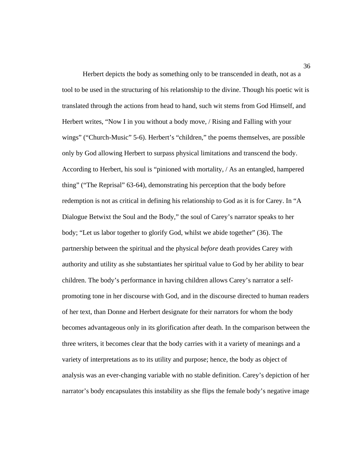Herbert depicts the body as something only to be transcended in death, not as a tool to be used in the structuring of his relationship to the divine. Though his poetic wit is translated through the actions from head to hand, such wit stems from God Himself, and Herbert writes, "Now I in you without a body move, / Rising and Falling with your wings" ("Church-Music" 5-6). Herbert's "children," the poems themselves, are possible only by God allowing Herbert to surpass physical limitations and transcend the body. According to Herbert, his soul is "pinioned with mortality, / As an entangled, hampered thing" ("The Reprisal" 63-64), demonstrating his perception that the body before redemption is not as critical in defining his relationship to God as it is for Carey. In "A Dialogue Betwixt the Soul and the Body," the soul of Carey's narrator speaks to her body; "Let us labor together to glorify God, whilst we abide together" (36). The partnership between the spiritual and the physical *before* death provides Carey with authority and utility as she substantiates her spiritual value to God by her ability to bear children. The body's performance in having children allows Carey's narrator a selfpromoting tone in her discourse with God, and in the discourse directed to human readers of her text, than Donne and Herbert designate for their narrators for whom the body becomes advantageous only in its glorification after death. In the comparison between the three writers, it becomes clear that the body carries with it a variety of meanings and a variety of interpretations as to its utility and purpose; hence, the body as object of analysis was an ever-changing variable with no stable definition. Carey's depiction of her narrator's body encapsulates this instability as she flips the female body's negative image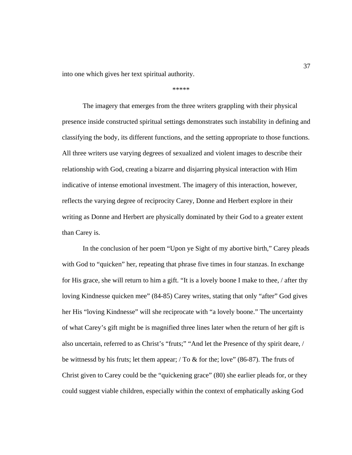into one which gives her text spiritual authority.

## \*\*\*\*\*

 The imagery that emerges from the three writers grappling with their physical presence inside constructed spiritual settings demonstrates such instability in defining and classifying the body, its different functions, and the setting appropriate to those functions. All three writers use varying degrees of sexualized and violent images to describe their relationship with God, creating a bizarre and disjarring physical interaction with Him indicative of intense emotional investment. The imagery of this interaction, however, reflects the varying degree of reciprocity Carey, Donne and Herbert explore in their writing as Donne and Herbert are physically dominated by their God to a greater extent than Carey is.

 In the conclusion of her poem "Upon ye Sight of my abortive birth," Carey pleads with God to "quicken" her, repeating that phrase five times in four stanzas. In exchange for His grace, she will return to him a gift. "It is a lovely boone I make to thee, / after thy loving Kindnesse quicken mee" (84-85) Carey writes, stating that only "after" God gives her His "loving Kindnesse" will she reciprocate with "a lovely boone." The uncertainty of what Carey's gift might be is magnified three lines later when the return of her gift is also uncertain, referred to as Christ's "fruts;" "And let the Presence of thy spirit deare, / be wittnessd by his fruts; let them appear; / To & for the; love" (86-87). The fruts of Christ given to Carey could be the "quickening grace" (80) she earlier pleads for, or they could suggest viable children, especially within the context of emphatically asking God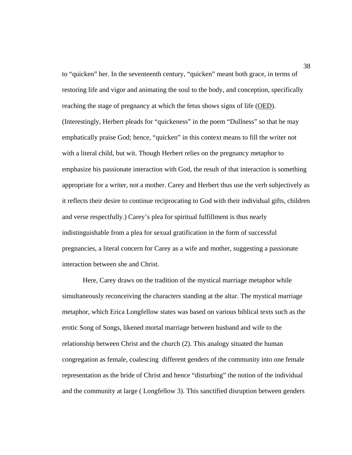to "quicken" her. In the seventeenth century, "quicken" meant both grace, in terms of restoring life and vigor and animating the soul to the body, and conception, specifically reaching the stage of pregnancy at which the fetus shows signs of life (OED). (Interestingly, Herbert pleads for "quickeness" in the poem "Dullness" so that he may emphatically praise God; hence, "quicken" in this context means to fill the writer not with a literal child, but wit. Though Herbert relies on the pregnancy metaphor to emphasize his passionate interaction with God, the result of that interaction is something appropriate for a writer, not a mother. Carey and Herbert thus use the verb subjectively as it reflects their desire to continue reciprocating to God with their individual gifts, children and verse respectfully.) Carey's plea for spiritual fulfillment is thus nearly indistinguishable from a plea for sexual gratification in the form of successful pregnancies, a literal concern for Carey as a wife and mother, suggesting a passionate interaction between she and Christ.

 Here, Carey draws on the tradition of the mystical marriage metaphor while simultaneously reconceiving the characters standing at the altar. The mystical marriage metaphor, which Erica Longfellow states was based on various biblical texts such as the erotic Song of Songs, likened mortal marriage between husband and wife to the relationship between Christ and the church (2). This analogy situated the human congregation as female, coalescing different genders of the community into one female representation as the bride of Christ and hence "disturbing" the notion of the individual and the community at large ( Longfellow 3). This sanctified disruption between genders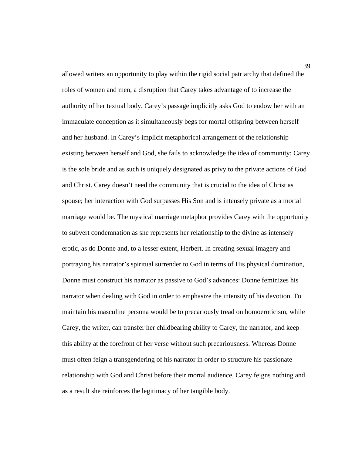allowed writers an opportunity to play within the rigid social patriarchy that defined the roles of women and men, a disruption that Carey takes advantage of to increase the authority of her textual body. Carey's passage implicitly asks God to endow her with an immaculate conception as it simultaneously begs for mortal offspring between herself and her husband. In Carey's implicit metaphorical arrangement of the relationship existing between herself and God, she fails to acknowledge the idea of community; Carey is the sole bride and as such is uniquely designated as privy to the private actions of God and Christ. Carey doesn't need the community that is crucial to the idea of Christ as spouse; her interaction with God surpasses His Son and is intensely private as a mortal marriage would be. The mystical marriage metaphor provides Carey with the opportunity to subvert condemnation as she represents her relationship to the divine as intensely erotic, as do Donne and, to a lesser extent, Herbert. In creating sexual imagery and portraying his narrator's spiritual surrender to God in terms of His physical domination, Donne must construct his narrator as passive to God's advances: Donne feminizes his narrator when dealing with God in order to emphasize the intensity of his devotion. To maintain his masculine persona would be to precariously tread on homoeroticism, while Carey, the writer, can transfer her childbearing ability to Carey, the narrator, and keep this ability at the forefront of her verse without such precariousness. Whereas Donne must often feign a transgendering of his narrator in order to structure his passionate relationship with God and Christ before their mortal audience, Carey feigns nothing and as a result she reinforces the legitimacy of her tangible body.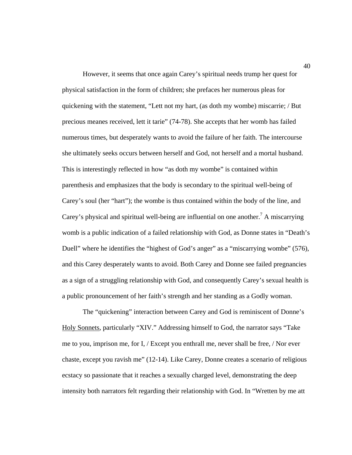However, it seems that once again Carey's spiritual needs trump her quest for physical satisfaction in the form of children; she prefaces her numerous pleas for quickening with the statement, "Lett not my hart, (as doth my wombe) miscarrie; / But precious meanes received, lett it tarie" (74-78). She accepts that her womb has failed numerous times, but desperately wants to avoid the failure of her faith. The intercourse she ultimately seeks occurs between herself and God, not herself and a mortal husband. This is interestingly reflected in how "as doth my wombe" is contained within parenthesis and emphasizes that the body is secondary to the spiritual well-being of Carey's soul (her "hart"); the wombe is thus contained within the body of the line, and Carey's physical and spiritual well-being are influential on one another.<sup>7</sup> A miscarrying womb is a public indication of a failed relationship with God, as Donne states in "Death's Duell" where he identifies the "highest of God's anger" as a "miscarrying wombe" (576), and this Carey desperately wants to avoid. Both Carey and Donne see failed pregnancies as a sign of a struggling relationship with God, and consequently Carey's sexual health is a public pronouncement of her faith's strength and her standing as a Godly woman.

 The "quickening" interaction between Carey and God is reminiscent of Donne's Holy Sonnets, particularly "XIV." Addressing himself to God, the narrator says "Take me to you, imprison me, for I, / Except you enthrall me, never shall be free, / Nor ever chaste, except you ravish me" (12-14). Like Carey, Donne creates a scenario of religious ecstacy so passionate that it reaches a sexually charged level, demonstrating the deep intensity both narrators felt regarding their relationship with God. In "Wretten by me att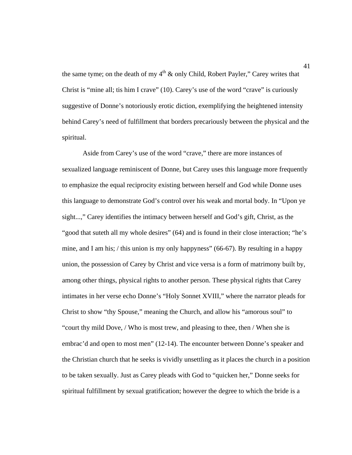the same tyme; on the death of my  $4<sup>th</sup>$  & only Child, Robert Payler," Carey writes that Christ is "mine all; tis him I crave" (10). Carey's use of the word "crave" is curiously suggestive of Donne's notoriously erotic diction, exemplifying the heightened intensity behind Carey's need of fulfillment that borders precariously between the physical and the spiritual.

 Aside from Carey's use of the word "crave," there are more instances of sexualized language reminiscent of Donne, but Carey uses this language more frequently to emphasize the equal reciprocity existing between herself and God while Donne uses this language to demonstrate God's control over his weak and mortal body. In "Upon ye sight...," Carey identifies the intimacy between herself and God's gift, Christ, as the "good that suteth all my whole desires" (64) and is found in their close interaction; "he's mine, and I am his; / this union is my only happyness" (66-67). By resulting in a happy union, the possession of Carey by Christ and vice versa is a form of matrimony built by, among other things, physical rights to another person. These physical rights that Carey intimates in her verse echo Donne's "Holy Sonnet XVIII," where the narrator pleads for Christ to show "thy Spouse," meaning the Church, and allow his "amorous soul" to "court thy mild Dove, / Who is most trew, and pleasing to thee, then / When she is embrac'd and open to most men" (12-14). The encounter between Donne's speaker and the Christian church that he seeks is vividly unsettling as it places the church in a position to be taken sexually. Just as Carey pleads with God to "quicken her," Donne seeks for spiritual fulfillment by sexual gratification; however the degree to which the bride is a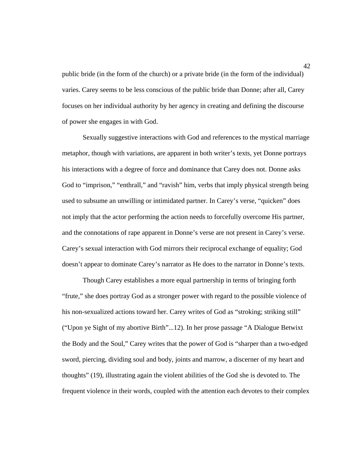public bride (in the form of the church) or a private bride (in the form of the individual) varies. Carey seems to be less conscious of the public bride than Donne; after all, Carey focuses on her individual authority by her agency in creating and defining the discourse of power she engages in with God.

 Sexually suggestive interactions with God and references to the mystical marriage metaphor, though with variations, are apparent in both writer's texts, yet Donne portrays his interactions with a degree of force and dominance that Carey does not. Donne asks God to "imprison," "enthrall," and "ravish" him, verbs that imply physical strength being used to subsume an unwilling or intimidated partner. In Carey's verse, "quicken" does not imply that the actor performing the action needs to forcefully overcome His partner, and the connotations of rape apparent in Donne's verse are not present in Carey's verse. Carey's sexual interaction with God mirrors their reciprocal exchange of equality; God doesn't appear to dominate Carey's narrator as He does to the narrator in Donne's texts.

 Though Carey establishes a more equal partnership in terms of bringing forth "frute," she does portray God as a stronger power with regard to the possible violence of his non-sexualized actions toward her. Carey writes of God as "stroking; striking still" ("Upon ye Sight of my abortive Birth"...12). In her prose passage "A Dialogue Betwixt the Body and the Soul," Carey writes that the power of God is "sharper than a two-edged sword, piercing, dividing soul and body, joints and marrow, a discerner of my heart and thoughts" (19), illustrating again the violent abilities of the God she is devoted to. The frequent violence in their words, coupled with the attention each devotes to their complex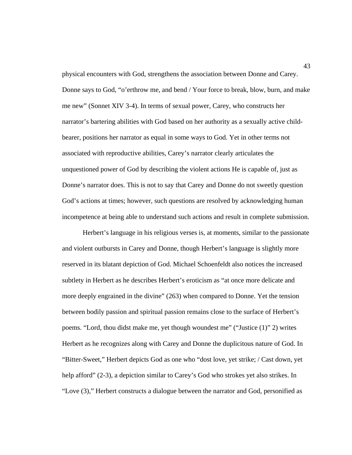physical encounters with God, strengthens the association between Donne and Carey. Donne says to God, "o'erthrow me, and bend / Your force to break, blow, burn, and make me new" (Sonnet XIV 3-4). In terms of sexual power, Carey, who constructs her narrator's bartering abilities with God based on her authority as a sexually active childbearer, positions her narrator as equal in some ways to God. Yet in other terms not associated with reproductive abilities, Carey's narrator clearly articulates the unquestioned power of God by describing the violent actions He is capable of, just as Donne's narrator does. This is not to say that Carey and Donne do not sweetly question God's actions at times; however, such questions are resolved by acknowledging human incompetence at being able to understand such actions and result in complete submission.

 Herbert's language in his religious verses is, at moments, similar to the passionate and violent outbursts in Carey and Donne, though Herbert's language is slightly more reserved in its blatant depiction of God. Michael Schoenfeldt also notices the increased subtlety in Herbert as he describes Herbert's eroticism as "at once more delicate and more deeply engrained in the divine" (263) when compared to Donne. Yet the tension between bodily passion and spiritual passion remains close to the surface of Herbert's poems. "Lord, thou didst make me, yet though woundest me" ("Justice (1)" 2) writes Herbert as he recognizes along with Carey and Donne the duplicitous nature of God. In "Bitter-Sweet," Herbert depicts God as one who "dost love, yet strike; / Cast down, yet help afford" (2-3), a depiction similar to Carey's God who strokes yet also strikes. In "Love (3)," Herbert constructs a dialogue between the narrator and God, personified as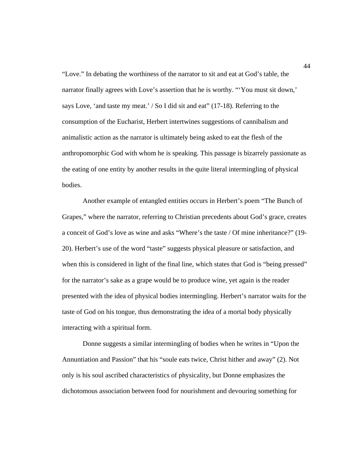"Love." In debating the worthiness of the narrator to sit and eat at God's table, the narrator finally agrees with Love's assertion that he is worthy. "'You must sit down,' says Love, 'and taste my meat.' / So I did sit and eat" (17-18). Referring to the consumption of the Eucharist, Herbert intertwines suggestions of cannibalism and animalistic action as the narrator is ultimately being asked to eat the flesh of the anthropomorphic God with whom he is speaking. This passage is bizarrely passionate as the eating of one entity by another results in the quite literal intermingling of physical bodies.

 Another example of entangled entities occurs in Herbert's poem "The Bunch of Grapes," where the narrator, referring to Christian precedents about God's grace, creates a conceit of God's love as wine and asks "Where's the taste / Of mine inheritance?" (19- 20). Herbert's use of the word "taste" suggests physical pleasure or satisfaction, and when this is considered in light of the final line, which states that God is "being pressed" for the narrator's sake as a grape would be to produce wine, yet again is the reader presented with the idea of physical bodies intermingling. Herbert's narrator waits for the taste of God on his tongue, thus demonstrating the idea of a mortal body physically interacting with a spiritual form.

 Donne suggests a similar intermingling of bodies when he writes in "Upon the Annuntiation and Passion" that his "soule eats twice, Christ hither and away" (2). Not only is his soul ascribed characteristics of physicality, but Donne emphasizes the dichotomous association between food for nourishment and devouring something for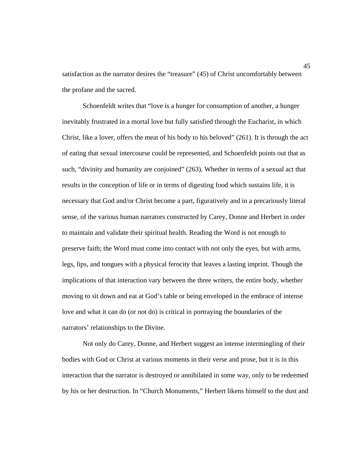satisfaction as the narrator desires the "treasure" (45) of Christ uncomfortably between the profane and the sacred.

 Schoenfeldt writes that "love is a hunger for consumption of another, a hunger inevitably frustrated in a mortal love but fully satisfied through the Eucharist, in which Christ, like a lover, offers the meat of his body to his beloved" (261). It is through the act of eating that sexual intercourse could be represented, and Schoenfeldt points out that as such, "divinity and humanity are conjoined" (263). Whether in terms of a sexual act that results in the conception of life or in terms of digesting food which sustains life, it is necessary that God and/or Christ become a part, figuratively and in a precariously literal sense, of the various human narrators constructed by Carey, Donne and Herbert in order to maintain and validate their spiritual health. Reading the Word is not enough to preserve faith; the Word must come into contact with not only the eyes, but with arms, legs, lips, and tongues with a physical ferocity that leaves a lasting imprint. Though the implications of that interaction vary between the three writers, the entire body, whether moving to sit down and eat at God's table or being enveloped in the embrace of intense love and what it can do (or not do) is critical in portraying the boundaries of the narrators' relationships to the Divine.

 Not only do Carey, Donne, and Herbert suggest an intense intermingling of their bodies with God or Christ at various moments in their verse and prose, but it is in this interaction that the narrator is destroyed or annihilated in some way, only to be redeemed by his or her destruction. In "Church Monuments," Herbert likens himself to the dust and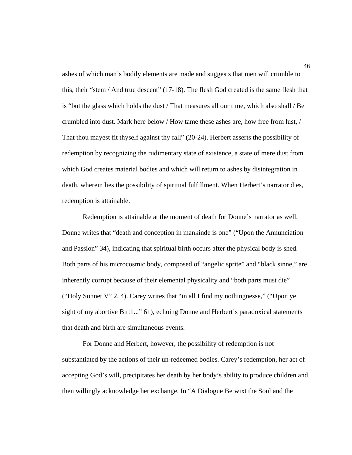ashes of which man's bodily elements are made and suggests that men will crumble to this, their "stem / And true descent" (17-18). The flesh God created is the same flesh that is "but the glass which holds the dust / That measures all our time, which also shall / Be crumbled into dust. Mark here below / How tame these ashes are, how free from lust, / That thou mayest fit thyself against thy fall" (20-24). Herbert asserts the possibility of redemption by recognizing the rudimentary state of existence, a state of mere dust from which God creates material bodies and which will return to ashes by disintegration in death, wherein lies the possibility of spiritual fulfillment. When Herbert's narrator dies, redemption is attainable.

 Redemption is attainable at the moment of death for Donne's narrator as well. Donne writes that "death and conception in mankinde is one" ("Upon the Annunciation and Passion" 34), indicating that spiritual birth occurs after the physical body is shed. Both parts of his microcosmic body, composed of "angelic sprite" and "black sinne," are inherently corrupt because of their elemental physicality and "both parts must die" ("Holy Sonnet V" 2, 4). Carey writes that "in all I find my nothingnesse," ("Upon ye sight of my abortive Birth..." 61), echoing Donne and Herbert's paradoxical statements that death and birth are simultaneous events.

 For Donne and Herbert, however, the possibility of redemption is not substantiated by the actions of their un-redeemed bodies. Carey's redemption, her act of accepting God's will, precipitates her death by her body's ability to produce children and then willingly acknowledge her exchange. In "A Dialogue Betwixt the Soul and the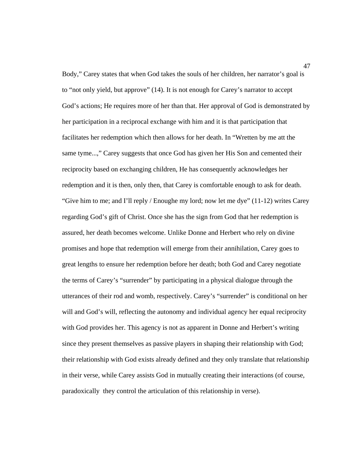Body," Carey states that when God takes the souls of her children, her narrator's goal is to "not only yield, but approve" (14). It is not enough for Carey's narrator to accept God's actions; He requires more of her than that. Her approval of God is demonstrated by her participation in a reciprocal exchange with him and it is that participation that facilitates her redemption which then allows for her death. In "Wretten by me att the same tyme...," Carey suggests that once God has given her His Son and cemented their reciprocity based on exchanging children, He has consequently acknowledges her redemption and it is then, only then, that Carey is comfortable enough to ask for death. "Give him to me; and I'll reply / Enoughe my lord; now let me dye"  $(11-12)$  writes Carey regarding God's gift of Christ. Once she has the sign from God that her redemption is assured, her death becomes welcome. Unlike Donne and Herbert who rely on divine promises and hope that redemption will emerge from their annihilation, Carey goes to great lengths to ensure her redemption before her death; both God and Carey negotiate the terms of Carey's "surrender" by participating in a physical dialogue through the utterances of their rod and womb, respectively. Carey's "surrender" is conditional on her will and God's will, reflecting the autonomy and individual agency her equal reciprocity with God provides her. This agency is not as apparent in Donne and Herbert's writing since they present themselves as passive players in shaping their relationship with God; their relationship with God exists already defined and they only translate that relationship in their verse, while Carey assists God in mutually creating their interactions (of course, paradoxically they control the articulation of this relationship in verse).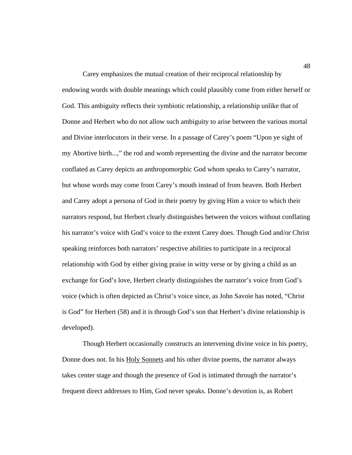Carey emphasizes the mutual creation of their reciprocal relationship by endowing words with double meanings which could plausibly come from either herself or God. This ambiguity reflects their symbiotic relationship, a relationship unlike that of Donne and Herbert who do not allow such ambiguity to arise between the various mortal and Divine interlocutors in their verse. In a passage of Carey's poem "Upon ye sight of my Abortive birth...," the rod and womb representing the divine and the narrator become conflated as Carey depicts an anthropomorphic God whom speaks to Carey's narrator, but whose words may come from Carey's mouth instead of from heaven. Both Herbert and Carey adopt a persona of God in their poetry by giving Him a voice to which their narrators respond, but Herbert clearly distinguishes between the voices without conflating his narrator's voice with God's voice to the extent Carey does. Though God and/or Christ speaking reinforces both narrators' respective abilities to participate in a reciprocal relationship with God by either giving praise in witty verse or by giving a child as an exchange for God's love, Herbert clearly distinguishes the narrator's voice from God's voice (which is often depicted as Christ's voice since, as John Savoie has noted, "Christ is God" for Herbert (58) and it is through God's son that Herbert's divine relationship is developed).

 Though Herbert occasionally constructs an intervening divine voice in his poetry, Donne does not. In his Holy Sonnets and his other divine poems, the narrator always takes center stage and though the presence of God is intimated through the narrator's frequent direct addresses to Him, God never speaks. Donne's devotion is, as Robert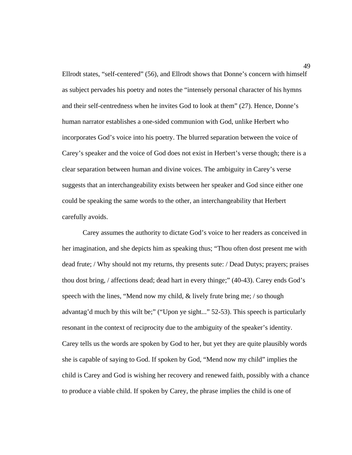Ellrodt states, "self-centered" (56), and Ellrodt shows that Donne's concern with himself as subject pervades his poetry and notes the "intensely personal character of his hymns and their self-centredness when he invites God to look at them" (27). Hence, Donne's human narrator establishes a one-sided communion with God, unlike Herbert who incorporates God's voice into his poetry. The blurred separation between the voice of Carey's speaker and the voice of God does not exist in Herbert's verse though; there is a clear separation between human and divine voices. The ambiguity in Carey's verse suggests that an interchangeability exists between her speaker and God since either one could be speaking the same words to the other, an interchangeability that Herbert carefully avoids.

 Carey assumes the authority to dictate God's voice to her readers as conceived in her imagination, and she depicts him as speaking thus; "Thou often dost present me with dead frute; / Why should not my returns, thy presents sute: / Dead Dutys; prayers; praises thou dost bring, / affections dead; dead hart in every thinge;" (40-43). Carey ends God's speech with the lines, "Mend now my child,  $\&$  lively frute bring me; / so though advantag'd much by this wilt be;" ("Upon ye sight..." 52-53). This speech is particularly resonant in the context of reciprocity due to the ambiguity of the speaker's identity. Carey tells us the words are spoken by God to her, but yet they are quite plausibly words she is capable of saying to God. If spoken by God, "Mend now my child" implies the child is Carey and God is wishing her recovery and renewed faith, possibly with a chance to produce a viable child. If spoken by Carey, the phrase implies the child is one of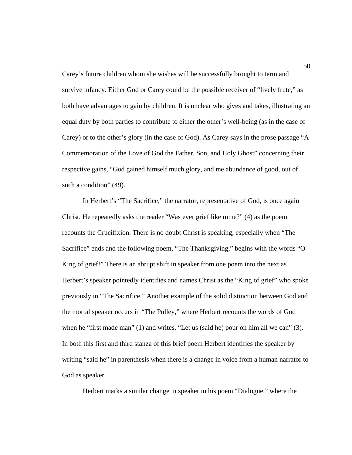Carey's future children whom she wishes will be successfully brought to term and survive infancy. Either God or Carey could be the possible receiver of "lively frute," as both have advantages to gain by children. It is unclear who gives and takes, illustrating an equal duty by both parties to contribute to either the other's well-being (as in the case of Carey) or to the other's glory (in the case of God). As Carey says in the prose passage "A Commemoration of the Love of God the Father, Son, and Holy Ghost" concerning their respective gains, "God gained himself much glory, and me abundance of good, out of such a condition" (49).

 In Herbert's "The Sacrifice," the narrator, representative of God, is once again Christ. He repeatedly asks the reader "Was ever grief like mine?" (4) as the poem recounts the Crucifixion. There is no doubt Christ is speaking, especially when "The Sacrifice" ends and the following poem, "The Thanksgiving," begins with the words "O King of grief!" There is an abrupt shift in speaker from one poem into the next as Herbert's speaker pointedly identifies and names Christ as the "King of grief" who spoke previously in "The Sacrifice." Another example of the solid distinction between God and the mortal speaker occurs in "The Pulley," where Herbert recounts the words of God when he "first made man" (1) and writes, "Let us (said he) pour on him all we can" (3). In both this first and third stanza of this brief poem Herbert identifies the speaker by writing "said he" in parenthesis when there is a change in voice from a human narrator to God as speaker.

Herbert marks a similar change in speaker in his poem "Dialogue," where the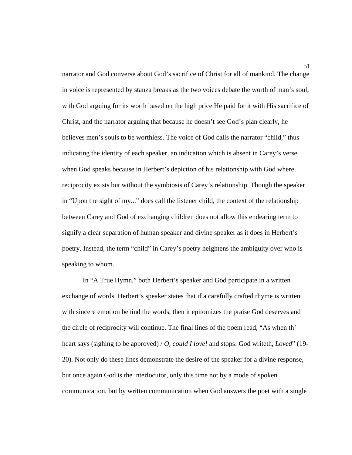narrator and God converse about God's sacrifice of Christ for all of mankind. The change in voice is represented by stanza breaks as the two voices debate the worth of man's soul, with God arguing for its worth based on the high price He paid for it with His sacrifice of Christ, and the narrator arguing that because he doesn't see God's plan clearly, he believes men's souls to be worthless. The voice of God calls the narrator "child," thus indicating the identity of each speaker, an indication which is absent in Carey's verse when God speaks because in Herbert's depiction of his relationship with God where reciprocity exists but without the symbiosis of Carey's relationship. Though the speaker in "Upon the sight of my..." does call the listener child, the context of the relationship between Carey and God of exchanging children does not allow this endearing term to signify a clear separation of human speaker and divine speaker as it does in Herbert's poetry. Instead, the term "child" in Carey's poetry heightens the ambiguity over who is speaking to whom.

 In "A True Hymn," both Herbert's speaker and God participate in a written exchange of words. Herbert's speaker states that if a carefully crafted rhyme is written with sincere emotion behind the words, then it epitomizes the praise God deserves and the circle of reciprocity will continue. The final lines of the poem read, "As when th' heart says (sighing to be approved) / *O, could I love!* and stops: God writeth, *Loved*" (19- 20). Not only do these lines demonstrate the desire of the speaker for a divine response, but once again God is the interlocutor, only this time not by a mode of spoken communication, but by written communication when God answers the poet with a single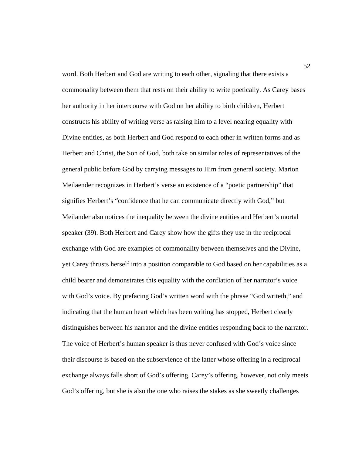word. Both Herbert and God are writing to each other, signaling that there exists a commonality between them that rests on their ability to write poetically. As Carey bases her authority in her intercourse with God on her ability to birth children, Herbert constructs his ability of writing verse as raising him to a level nearing equality with Divine entities, as both Herbert and God respond to each other in written forms and as Herbert and Christ, the Son of God, both take on similar roles of representatives of the general public before God by carrying messages to Him from general society. Marion Meilaender recognizes in Herbert's verse an existence of a "poetic partnership" that signifies Herbert's "confidence that he can communicate directly with God," but Meilander also notices the inequality between the divine entities and Herbert's mortal speaker (39). Both Herbert and Carey show how the gifts they use in the reciprocal exchange with God are examples of commonality between themselves and the Divine, yet Carey thrusts herself into a position comparable to God based on her capabilities as a child bearer and demonstrates this equality with the conflation of her narrator's voice with God's voice. By prefacing God's written word with the phrase "God writeth," and indicating that the human heart which has been writing has stopped, Herbert clearly distinguishes between his narrator and the divine entities responding back to the narrator. The voice of Herbert's human speaker is thus never confused with God's voice since their discourse is based on the subservience of the latter whose offering in a reciprocal exchange always falls short of God's offering. Carey's offering, however, not only meets God's offering, but she is also the one who raises the stakes as she sweetly challenges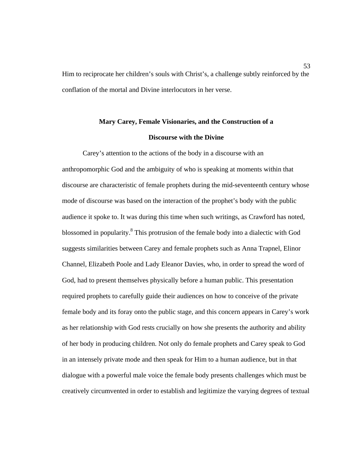53 Him to reciprocate her children's souls with Christ's, a challenge subtly reinforced by the conflation of the mortal and Divine interlocutors in her verse.

## **Mary Carey, Female Visionaries, and the Construction of a Discourse with the Divine**

 Carey's attention to the actions of the body in a discourse with an anthropomorphic God and the ambiguity of who is speaking at moments within that discourse are characteristic of female prophets during the mid-seventeenth century whose mode of discourse was based on the interaction of the prophet's body with the public audience it spoke to. It was during this time when such writings, as Crawford has noted, blossomed in popularity.<sup>8</sup> This protrusion of the female body into a dialectic with God suggests similarities between Carey and female prophets such as Anna Trapnel, Elinor Channel, Elizabeth Poole and Lady Eleanor Davies, who, in order to spread the word of God, had to present themselves physically before a human public. This presentation required prophets to carefully guide their audiences on how to conceive of the private female body and its foray onto the public stage, and this concern appears in Carey's work as her relationship with God rests crucially on how she presents the authority and ability of her body in producing children. Not only do female prophets and Carey speak to God in an intensely private mode and then speak for Him to a human audience, but in that dialogue with a powerful male voice the female body presents challenges which must be creatively circumvented in order to establish and legitimize the varying degrees of textual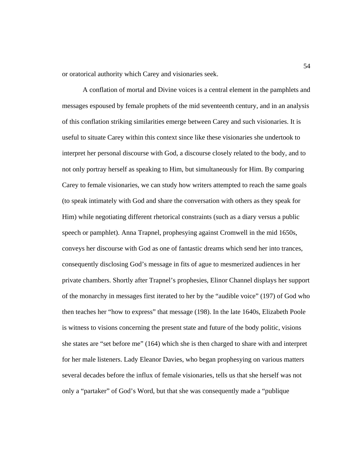or oratorical authority which Carey and visionaries seek.

 A conflation of mortal and Divine voices is a central element in the pamphlets and messages espoused by female prophets of the mid seventeenth century, and in an analysis of this conflation striking similarities emerge between Carey and such visionaries. It is useful to situate Carey within this context since like these visionaries she undertook to interpret her personal discourse with God, a discourse closely related to the body, and to not only portray herself as speaking to Him, but simultaneously for Him. By comparing Carey to female visionaries, we can study how writers attempted to reach the same goals (to speak intimately with God and share the conversation with others as they speak for Him) while negotiating different rhetorical constraints (such as a diary versus a public speech or pamphlet). Anna Trapnel, prophesying against Cromwell in the mid 1650s, conveys her discourse with God as one of fantastic dreams which send her into trances, consequently disclosing God's message in fits of ague to mesmerized audiences in her private chambers. Shortly after Trapnel's prophesies, Elinor Channel displays her support of the monarchy in messages first iterated to her by the "audible voice" (197) of God who then teaches her "how to express" that message (198). In the late 1640s, Elizabeth Poole is witness to visions concerning the present state and future of the body politic, visions she states are "set before me" (164) which she is then charged to share with and interpret for her male listeners. Lady Eleanor Davies, who began prophesying on various matters several decades before the influx of female visionaries, tells us that she herself was not only a "partaker" of God's Word, but that she was consequently made a "publique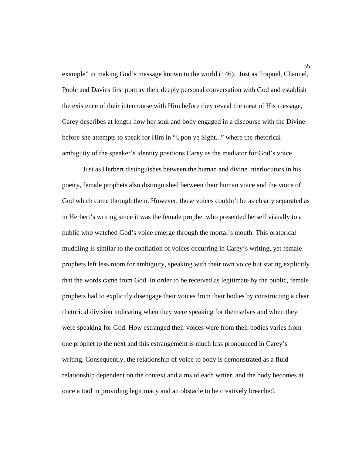example" in making God's message known to the world (146). Just as Trapnel, Channel, Poole and Davies first portray their deeply personal conversation with God and establish the existence of their intercourse with Him before they reveal the meat of His message, Carey describes at length how her soul and body engaged in a discourse with the Divine before she attempts to speak for Him in "Upon ye Sight..." where the rhetorical ambiguity of the speaker's identity positions Carey as the mediator for God's voice.

 Just as Herbert distinguishes between the human and divine interlocutors in his poetry, female prophets also distinguished between their human voice and the voice of God which came through them. However, those voices couldn't be as clearly separated as in Herbert's writing since it was the female prophet who presented herself visually to a public who watched God's voice emerge through the mortal's mouth. This oratorical muddling is similar to the conflation of voices occurring in Carey's writing, yet female prophets left less room for ambiguity, speaking with their own voice but stating explicitly that the words came from God. In order to be received as legitimate by the public, female prophets had to explicitly disengage their voices from their bodies by constructing a clear rhetorical division indicating when they were speaking for themselves and when they were speaking for God. How estranged their voices were from their bodies varies from one prophet to the next and this estrangement is much less pronounced in Carey's writing. Consequently, the relationship of voice to body is demonstrated as a fluid relationship dependent on the context and aims of each writer, and the body becomes at once a tool in providing legitimacy and an obstacle to be creatively breached.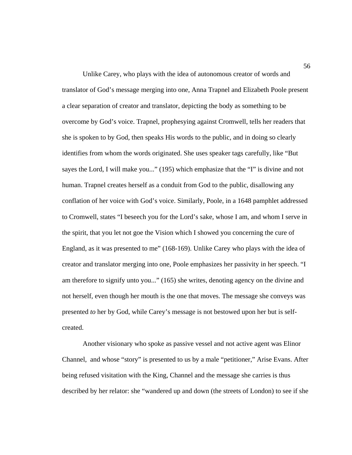Unlike Carey, who plays with the idea of autonomous creator of words and translator of God's message merging into one, Anna Trapnel and Elizabeth Poole present a clear separation of creator and translator, depicting the body as something to be overcome by God's voice. Trapnel, prophesying against Cromwell, tells her readers that she is spoken to by God, then speaks His words to the public, and in doing so clearly identifies from whom the words originated. She uses speaker tags carefully, like "But sayes the Lord, I will make you..." (195) which emphasize that the "I" is divine and not human. Trapnel creates herself as a conduit from God to the public, disallowing any conflation of her voice with God's voice. Similarly, Poole, in a 1648 pamphlet addressed to Cromwell, states "I beseech you for the Lord's sake, whose I am, and whom I serve in the spirit, that you let not goe the Vision which I showed you concerning the cure of England, as it was presented to me" (168-169). Unlike Carey who plays with the idea of creator and translator merging into one, Poole emphasizes her passivity in her speech. "I am therefore to signify unto you..." (165) she writes, denoting agency on the divine and not herself, even though her mouth is the one that moves. The message she conveys was presented *to* her by God, while Carey's message is not bestowed upon her but is selfcreated.

 Another visionary who spoke as passive vessel and not active agent was Elinor Channel, and whose "story" is presented to us by a male "petitioner," Arise Evans. After being refused visitation with the King, Channel and the message she carries is thus described by her relator: she "wandered up and down (the streets of London) to see if she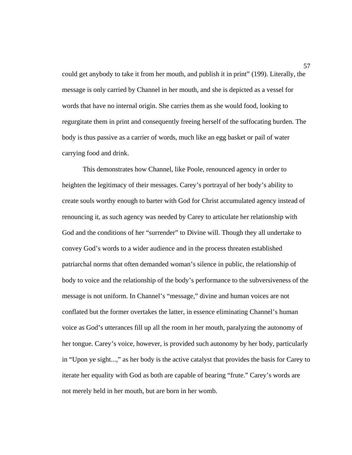could get anybody to take it from her mouth, and publish it in print" (199). Literally, the message is only carried by Channel in her mouth, and she is depicted as a vessel for words that have no internal origin. She carries them as she would food, looking to regurgitate them in print and consequently freeing herself of the suffocating burden. The body is thus passive as a carrier of words, much like an egg basket or pail of water carrying food and drink.

 This demonstrates how Channel, like Poole, renounced agency in order to heighten the legitimacy of their messages. Carey's portrayal of her body's ability to create souls worthy enough to barter with God for Christ accumulated agency instead of renouncing it, as such agency was needed by Carey to articulate her relationship with God and the conditions of her "surrender" to Divine will. Though they all undertake to convey God's words to a wider audience and in the process threaten established patriarchal norms that often demanded woman's silence in public, the relationship of body to voice and the relationship of the body's performance to the subversiveness of the message is not uniform. In Channel's "message," divine and human voices are not conflated but the former overtakes the latter, in essence eliminating Channel's human voice as God's utterances fill up all the room in her mouth, paralyzing the autonomy of her tongue. Carey's voice, however, is provided such autonomy by her body, particularly in "Upon ye sight...," as her body is the active catalyst that provides the basis for Carey to iterate her equality with God as both are capable of bearing "frute." Carey's words are not merely held in her mouth, but are born in her womb.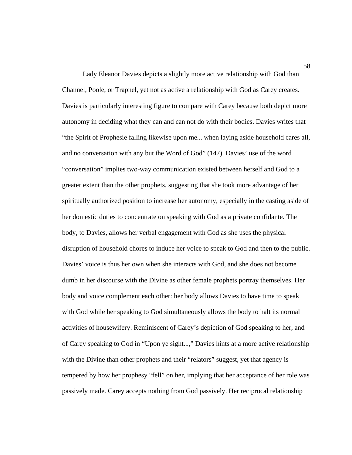Lady Eleanor Davies depicts a slightly more active relationship with God than Channel, Poole, or Trapnel, yet not as active a relationship with God as Carey creates. Davies is particularly interesting figure to compare with Carey because both depict more autonomy in deciding what they can and can not do with their bodies. Davies writes that "the Spirit of Prophesie falling likewise upon me... when laying aside household cares all, and no conversation with any but the Word of God" (147). Davies' use of the word "conversation" implies two-way communication existed between herself and God to a greater extent than the other prophets, suggesting that she took more advantage of her spiritually authorized position to increase her autonomy, especially in the casting aside of her domestic duties to concentrate on speaking with God as a private confidante. The body, to Davies, allows her verbal engagement with God as she uses the physical disruption of household chores to induce her voice to speak to God and then to the public. Davies' voice is thus her own when she interacts with God, and she does not become dumb in her discourse with the Divine as other female prophets portray themselves. Her body and voice complement each other: her body allows Davies to have time to speak with God while her speaking to God simultaneously allows the body to halt its normal activities of housewifery. Reminiscent of Carey's depiction of God speaking to her, and of Carey speaking to God in "Upon ye sight...," Davies hints at a more active relationship with the Divine than other prophets and their "relators" suggest, yet that agency is tempered by how her prophesy "fell" on her, implying that her acceptance of her role was passively made. Carey accepts nothing from God passively. Her reciprocal relationship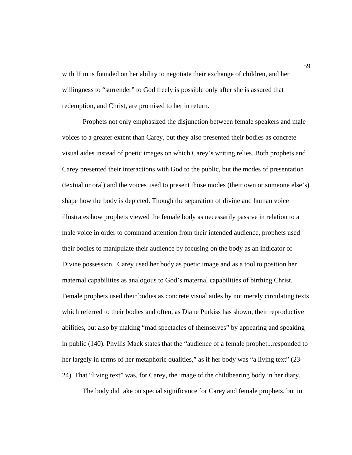with Him is founded on her ability to negotiate their exchange of children, and her willingness to "surrender" to God freely is possible only after she is assured that redemption, and Christ, are promised to her in return.

 Prophets not only emphasized the disjunction between female speakers and male voices to a greater extent than Carey, but they also presented their bodies as concrete visual aides instead of poetic images on which Carey's writing relies. Both prophets and Carey presented their interactions with God to the public, but the modes of presentation (textual or oral) and the voices used to present those modes (their own or someone else's) shape how the body is depicted. Though the separation of divine and human voice illustrates how prophets viewed the female body as necessarily passive in relation to a male voice in order to command attention from their intended audience, prophets used their bodies to manipulate their audience by focusing on the body as an indicator of Divine possession. Carey used her body as poetic image and as a tool to position her maternal capabilities as analogous to God's maternal capabilities of birthing Christ. Female prophets used their bodies as concrete visual aides by not merely circulating texts which referred to their bodies and often, as Diane Purkiss has shown, their reproductive abilities, but also by making "mad spectacles of themselves" by appearing and speaking in public (140). Phyllis Mack states that the "audience of a female prophet...responded to her largely in terms of her metaphoric qualities," as if her body was "a living text" (23-24). That "living text" was, for Carey, the image of the childbearing body in her diary.

The body did take on special significance for Carey and female prophets, but in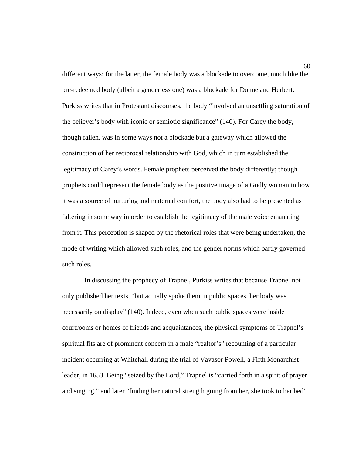different ways: for the latter, the female body was a blockade to overcome, much like the pre-redeemed body (albeit a genderless one) was a blockade for Donne and Herbert. Purkiss writes that in Protestant discourses, the body "involved an unsettling saturation of the believer's body with iconic or semiotic significance" (140). For Carey the body, though fallen, was in some ways not a blockade but a gateway which allowed the construction of her reciprocal relationship with God, which in turn established the legitimacy of Carey's words. Female prophets perceived the body differently; though prophets could represent the female body as the positive image of a Godly woman in how it was a source of nurturing and maternal comfort, the body also had to be presented as faltering in some way in order to establish the legitimacy of the male voice emanating from it. This perception is shaped by the rhetorical roles that were being undertaken, the mode of writing which allowed such roles, and the gender norms which partly governed such roles.

 In discussing the prophecy of Trapnel, Purkiss writes that because Trapnel not only published her texts, "but actually spoke them in public spaces, her body was necessarily on display" (140). Indeed, even when such public spaces were inside courtrooms or homes of friends and acquaintances, the physical symptoms of Trapnel's spiritual fits are of prominent concern in a male "realtor's" recounting of a particular incident occurring at Whitehall during the trial of Vavasor Powell, a Fifth Monarchist leader, in 1653. Being "seized by the Lord," Trapnel is "carried forth in a spirit of prayer and singing," and later "finding her natural strength going from her, she took to her bed"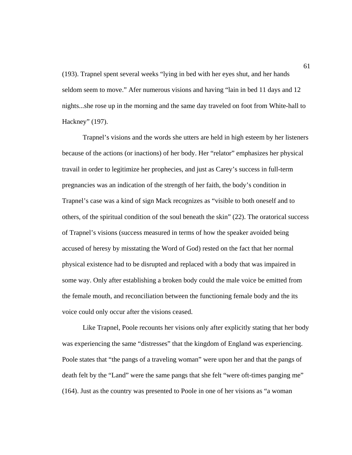(193). Trapnel spent several weeks "lying in bed with her eyes shut, and her hands seldom seem to move." Afer numerous visions and having "lain in bed 11 days and 12 nights...she rose up in the morning and the same day traveled on foot from White-hall to Hackney" (197).

 Trapnel's visions and the words she utters are held in high esteem by her listeners because of the actions (or inactions) of her body. Her "relator" emphasizes her physical travail in order to legitimize her prophecies, and just as Carey's success in full-term pregnancies was an indication of the strength of her faith, the body's condition in Trapnel's case was a kind of sign Mack recognizes as "visible to both oneself and to others, of the spiritual condition of the soul beneath the skin" (22). The oratorical success of Trapnel's visions (success measured in terms of how the speaker avoided being accused of heresy by misstating the Word of God) rested on the fact that her normal physical existence had to be disrupted and replaced with a body that was impaired in some way. Only after establishing a broken body could the male voice be emitted from the female mouth, and reconciliation between the functioning female body and the its voice could only occur after the visions ceased.

 Like Trapnel, Poole recounts her visions only after explicitly stating that her body was experiencing the same "distresses" that the kingdom of England was experiencing. Poole states that "the pangs of a traveling woman" were upon her and that the pangs of death felt by the "Land" were the same pangs that she felt "were oft-times panging me" (164). Just as the country was presented to Poole in one of her visions as "a woman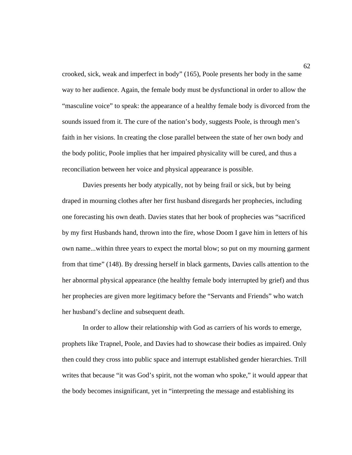crooked, sick, weak and imperfect in body" (165), Poole presents her body in the same way to her audience. Again, the female body must be dysfunctional in order to allow the "masculine voice" to speak: the appearance of a healthy female body is divorced from the sounds issued from it. The cure of the nation's body, suggests Poole, is through men's faith in her visions. In creating the close parallel between the state of her own body and the body politic, Poole implies that her impaired physicality will be cured, and thus a reconciliation between her voice and physical appearance is possible.

 Davies presents her body atypically, not by being frail or sick, but by being draped in mourning clothes after her first husband disregards her prophecies, including one forecasting his own death. Davies states that her book of prophecies was "sacrificed by my first Husbands hand, thrown into the fire, whose Doom I gave him in letters of his own name...within three years to expect the mortal blow; so put on my mourning garment from that time" (148). By dressing herself in black garments, Davies calls attention to the her abnormal physical appearance (the healthy female body interrupted by grief) and thus her prophecies are given more legitimacy before the "Servants and Friends" who watch her husband's decline and subsequent death.

 In order to allow their relationship with God as carriers of his words to emerge, prophets like Trapnel, Poole, and Davies had to showcase their bodies as impaired. Only then could they cross into public space and interrupt established gender hierarchies. Trill writes that because "it was God's spirit, not the woman who spoke," it would appear that the body becomes insignificant, yet in "interpreting the message and establishing its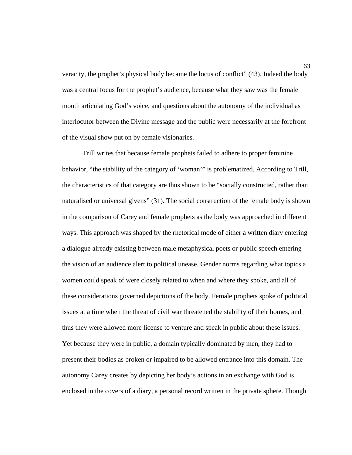veracity, the prophet's physical body became the locus of conflict" (43). Indeed the body was a central focus for the prophet's audience, because what they saw was the female mouth articulating God's voice, and questions about the autonomy of the individual as interlocutor between the Divine message and the public were necessarily at the forefront of the visual show put on by female visionaries.

 Trill writes that because female prophets failed to adhere to proper feminine behavior, "the stability of the category of 'woman'" is problematized. According to Trill, the characteristics of that category are thus shown to be "socially constructed, rather than naturalised or universal givens" (31). The social construction of the female body is shown in the comparison of Carey and female prophets as the body was approached in different ways. This approach was shaped by the rhetorical mode of either a written diary entering a dialogue already existing between male metaphysical poets or public speech entering the vision of an audience alert to political unease. Gender norms regarding what topics a women could speak of were closely related to when and where they spoke, and all of these considerations governed depictions of the body. Female prophets spoke of political issues at a time when the threat of civil war threatened the stability of their homes, and thus they were allowed more license to venture and speak in public about these issues. Yet because they were in public, a domain typically dominated by men, they had to present their bodies as broken or impaired to be allowed entrance into this domain. The autonomy Carey creates by depicting her body's actions in an exchange with God is enclosed in the covers of a diary, a personal record written in the private sphere. Though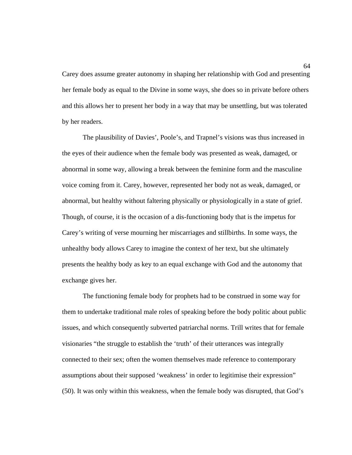Carey does assume greater autonomy in shaping her relationship with God and presenting her female body as equal to the Divine in some ways, she does so in private before others and this allows her to present her body in a way that may be unsettling, but was tolerated by her readers.

 The plausibility of Davies', Poole's, and Trapnel's visions was thus increased in the eyes of their audience when the female body was presented as weak, damaged, or abnormal in some way, allowing a break between the feminine form and the masculine voice coming from it. Carey, however, represented her body not as weak, damaged, or abnormal, but healthy without faltering physically or physiologically in a state of grief. Though, of course, it is the occasion of a dis-functioning body that is the impetus for Carey's writing of verse mourning her miscarriages and stillbirths. In some ways, the unhealthy body allows Carey to imagine the context of her text, but she ultimately presents the healthy body as key to an equal exchange with God and the autonomy that exchange gives her.

 The functioning female body for prophets had to be construed in some way for them to undertake traditional male roles of speaking before the body politic about public issues, and which consequently subverted patriarchal norms. Trill writes that for female visionaries "the struggle to establish the 'truth' of their utterances was integrally connected to their sex; often the women themselves made reference to contemporary assumptions about their supposed 'weakness' in order to legitimise their expression" (50). It was only within this weakness, when the female body was disrupted, that God's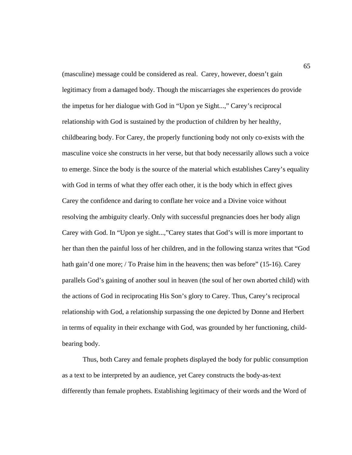(masculine) message could be considered as real. Carey, however, doesn't gain legitimacy from a damaged body. Though the miscarriages she experiences do provide the impetus for her dialogue with God in "Upon ye Sight...," Carey's reciprocal relationship with God is sustained by the production of children by her healthy, childbearing body. For Carey, the properly functioning body not only co-exists with the masculine voice she constructs in her verse, but that body necessarily allows such a voice to emerge. Since the body is the source of the material which establishes Carey's equality with God in terms of what they offer each other, it is the body which in effect gives Carey the confidence and daring to conflate her voice and a Divine voice without resolving the ambiguity clearly. Only with successful pregnancies does her body align Carey with God. In "Upon ye sight...,"Carey states that God's will is more important to her than then the painful loss of her children, and in the following stanza writes that "God hath gain'd one more; / To Praise him in the heavens; then was before" (15-16). Carey parallels God's gaining of another soul in heaven (the soul of her own aborted child) with the actions of God in reciprocating His Son's glory to Carey. Thus, Carey's reciprocal relationship with God, a relationship surpassing the one depicted by Donne and Herbert in terms of equality in their exchange with God, was grounded by her functioning, childbearing body.

 Thus, both Carey and female prophets displayed the body for public consumption as a text to be interpreted by an audience, yet Carey constructs the body-as-text differently than female prophets. Establishing legitimacy of their words and the Word of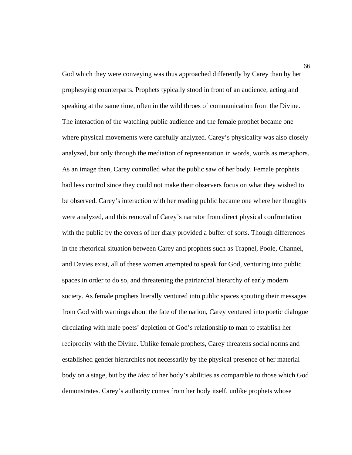God which they were conveying was thus approached differently by Carey than by her prophesying counterparts. Prophets typically stood in front of an audience, acting and speaking at the same time, often in the wild throes of communication from the Divine. The interaction of the watching public audience and the female prophet became one where physical movements were carefully analyzed. Carey's physicality was also closely analyzed, but only through the mediation of representation in words, words as metaphors. As an image then, Carey controlled what the public saw of her body. Female prophets had less control since they could not make their observers focus on what they wished to be observed. Carey's interaction with her reading public became one where her thoughts were analyzed, and this removal of Carey's narrator from direct physical confrontation with the public by the covers of her diary provided a buffer of sorts. Though differences in the rhetorical situation between Carey and prophets such as Trapnel, Poole, Channel, and Davies exist, all of these women attempted to speak for God, venturing into public spaces in order to do so, and threatening the patriarchal hierarchy of early modern society. As female prophets literally ventured into public spaces spouting their messages from God with warnings about the fate of the nation, Carey ventured into poetic dialogue circulating with male poets' depiction of God's relationship to man to establish her reciprocity with the Divine. Unlike female prophets, Carey threatens social norms and established gender hierarchies not necessarily by the physical presence of her material body on a stage, but by the *idea* of her body's abilities as comparable to those which God demonstrates. Carey's authority comes from her body itself, unlike prophets whose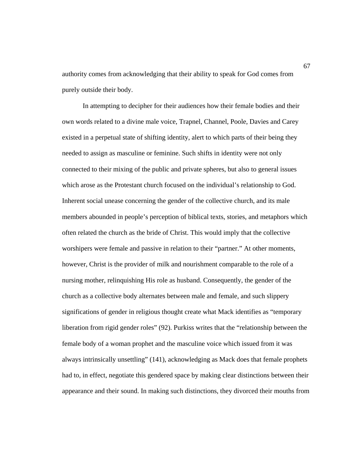authority comes from acknowledging that their ability to speak for God comes from purely outside their body.

 In attempting to decipher for their audiences how their female bodies and their own words related to a divine male voice, Trapnel, Channel, Poole, Davies and Carey existed in a perpetual state of shifting identity, alert to which parts of their being they needed to assign as masculine or feminine. Such shifts in identity were not only connected to their mixing of the public and private spheres, but also to general issues which arose as the Protestant church focused on the individual's relationship to God. Inherent social unease concerning the gender of the collective church, and its male members abounded in people's perception of biblical texts, stories, and metaphors which often related the church as the bride of Christ. This would imply that the collective worshipers were female and passive in relation to their "partner." At other moments, however, Christ is the provider of milk and nourishment comparable to the role of a nursing mother, relinquishing His role as husband. Consequently, the gender of the church as a collective body alternates between male and female, and such slippery significations of gender in religious thought create what Mack identifies as "temporary liberation from rigid gender roles" (92). Purkiss writes that the "relationship between the female body of a woman prophet and the masculine voice which issued from it was always intrinsically unsettling" (141), acknowledging as Mack does that female prophets had to, in effect, negotiate this gendered space by making clear distinctions between their appearance and their sound. In making such distinctions, they divorced their mouths from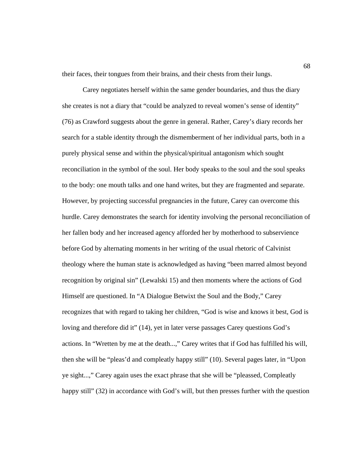their faces, their tongues from their brains, and their chests from their lungs.

 Carey negotiates herself within the same gender boundaries, and thus the diary she creates is not a diary that "could be analyzed to reveal women's sense of identity" (76) as Crawford suggests about the genre in general. Rather, Carey's diary records her search for a stable identity through the dismemberment of her individual parts, both in a purely physical sense and within the physical/spiritual antagonism which sought reconciliation in the symbol of the soul. Her body speaks to the soul and the soul speaks to the body: one mouth talks and one hand writes, but they are fragmented and separate. However, by projecting successful pregnancies in the future, Carey can overcome this hurdle. Carey demonstrates the search for identity involving the personal reconciliation of her fallen body and her increased agency afforded her by motherhood to subservience before God by alternating moments in her writing of the usual rhetoric of Calvinist theology where the human state is acknowledged as having "been marred almost beyond recognition by original sin" (Lewalski 15) and then moments where the actions of God Himself are questioned. In "A Dialogue Betwixt the Soul and the Body," Carey recognizes that with regard to taking her children, "God is wise and knows it best, God is loving and therefore did it" (14), yet in later verse passages Carey questions God's actions. In "Wretten by me at the death...," Carey writes that if God has fulfilled his will, then she will be "pleas'd and compleatly happy still" (10). Several pages later, in "Upon ye sight...," Carey again uses the exact phrase that she will be "pleassed, Compleatly happy still" (32) in accordance with God's will, but then presses further with the question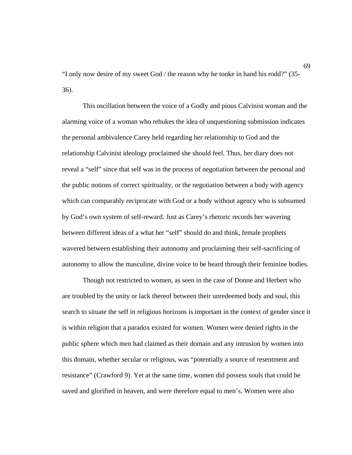"I only now desire of my sweet God / the reason why he tooke in hand his rodd?" (35- 36).

 This oscillation between the voice of a Godly and pious Calvinist woman and the alarming voice of a woman who rebukes the idea of unquestioning submission indicates the personal ambivalence Carey held regarding her relationship to God and the relationship Calvinist ideology proclaimed she should feel. Thus, her diary does not reveal a "self" since that self was in the process of negotiation between the personal and the public notions of correct spirituality, or the negotiation between a body with agency which can comparably reciprocate with God or a body without agency who is subsumed by God's own system of self-reward. Just as Carey's rhetoric records her wavering between different ideas of a what her "self" should do and think, female prophets wavered between establishing their autonomy and proclaiming their self-sacrificing of autonomy to allow the masculine, divine voice to be heard through their feminine bodies.

 Though not restricted to women, as seen in the case of Donne and Herbert who are troubled by the unity or lack thereof between their unredeemed body and soul, this search to situate the self in religious horizons is important in the context of gender since it is within religion that a paradox existed for women. Women were denied rights in the public sphere which men had claimed as their domain and any intrusion by women into this domain, whether secular or religious, was "potentially a source of resentment and resistance" (Crawford 9). Yet at the same time, women did possess souls that could be saved and glorified in heaven, and were therefore equal to men's. Women were also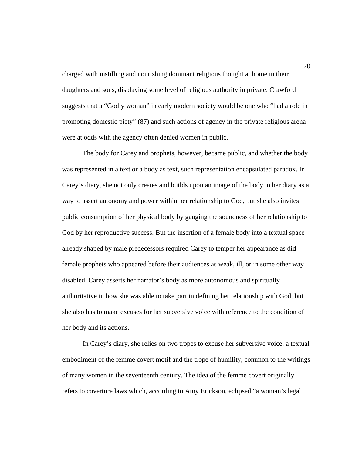charged with instilling and nourishing dominant religious thought at home in their daughters and sons, displaying some level of religious authority in private. Crawford suggests that a "Godly woman" in early modern society would be one who "had a role in promoting domestic piety" (87) and such actions of agency in the private religious arena were at odds with the agency often denied women in public.

 The body for Carey and prophets, however, became public, and whether the body was represented in a text or a body as text, such representation encapsulated paradox. In Carey's diary, she not only creates and builds upon an image of the body in her diary as a way to assert autonomy and power within her relationship to God, but she also invites public consumption of her physical body by gauging the soundness of her relationship to God by her reproductive success. But the insertion of a female body into a textual space already shaped by male predecessors required Carey to temper her appearance as did female prophets who appeared before their audiences as weak, ill, or in some other way disabled. Carey asserts her narrator's body as more autonomous and spiritually authoritative in how she was able to take part in defining her relationship with God, but she also has to make excuses for her subversive voice with reference to the condition of her body and its actions.

 In Carey's diary, she relies on two tropes to excuse her subversive voice: a textual embodiment of the femme covert motif and the trope of humility, common to the writings of many women in the seventeenth century. The idea of the femme covert originally refers to coverture laws which, according to Amy Erickson, eclipsed "a woman's legal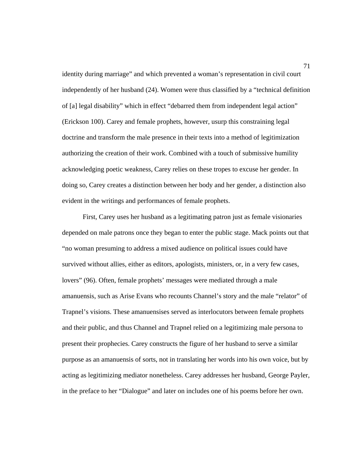identity during marriage" and which prevented a woman's representation in civil court independently of her husband (24). Women were thus classified by a "technical definition of [a] legal disability" which in effect "debarred them from independent legal action" (Erickson 100). Carey and female prophets, however, usurp this constraining legal doctrine and transform the male presence in their texts into a method of legitimization authorizing the creation of their work. Combined with a touch of submissive humility acknowledging poetic weakness, Carey relies on these tropes to excuse her gender. In doing so, Carey creates a distinction between her body and her gender, a distinction also evident in the writings and performances of female prophets.

 First, Carey uses her husband as a legitimating patron just as female visionaries depended on male patrons once they began to enter the public stage. Mack points out that "no woman presuming to address a mixed audience on political issues could have survived without allies, either as editors, apologists, ministers, or, in a very few cases, lovers" (96). Often, female prophets' messages were mediated through a male amanuensis, such as Arise Evans who recounts Channel's story and the male "relator" of Trapnel's visions. These amanuensises served as interlocutors between female prophets and their public, and thus Channel and Trapnel relied on a legitimizing male persona to present their prophecies. Carey constructs the figure of her husband to serve a similar purpose as an amanuensis of sorts, not in translating her words into his own voice, but by acting as legitimizing mediator nonetheless. Carey addresses her husband, George Payler, in the preface to her "Dialogue" and later on includes one of his poems before her own.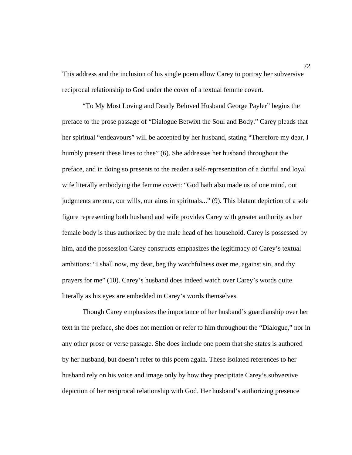This address and the inclusion of his single poem allow Carey to portray her subversive reciprocal relationship to God under the cover of a textual femme covert.

 "To My Most Loving and Dearly Beloved Husband George Payler" begins the preface to the prose passage of "Dialogue Betwixt the Soul and Body." Carey pleads that her spiritual "endeavours" will be accepted by her husband, stating "Therefore my dear, I humbly present these lines to thee" (6). She addresses her husband throughout the preface, and in doing so presents to the reader a self-representation of a dutiful and loyal wife literally embodying the femme covert: "God hath also made us of one mind, out judgments are one, our wills, our aims in spirituals..." (9). This blatant depiction of a sole figure representing both husband and wife provides Carey with greater authority as her female body is thus authorized by the male head of her household. Carey is possessed by him, and the possession Carey constructs emphasizes the legitimacy of Carey's textual ambitions: "I shall now, my dear, beg thy watchfulness over me, against sin, and thy prayers for me" (10). Carey's husband does indeed watch over Carey's words quite literally as his eyes are embedded in Carey's words themselves.

 Though Carey emphasizes the importance of her husband's guardianship over her text in the preface, she does not mention or refer to him throughout the "Dialogue," nor in any other prose or verse passage. She does include one poem that she states is authored by her husband, but doesn't refer to this poem again. These isolated references to her husband rely on his voice and image only by how they precipitate Carey's subversive depiction of her reciprocal relationship with God. Her husband's authorizing presence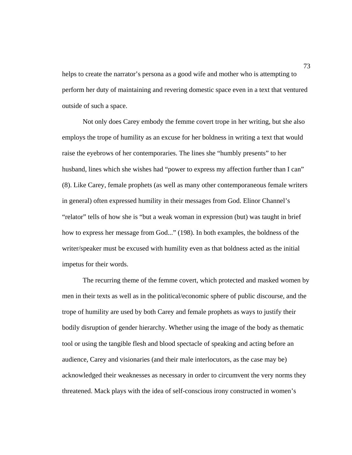helps to create the narrator's persona as a good wife and mother who is attempting to perform her duty of maintaining and revering domestic space even in a text that ventured outside of such a space.

 Not only does Carey embody the femme covert trope in her writing, but she also employs the trope of humility as an excuse for her boldness in writing a text that would raise the eyebrows of her contemporaries. The lines she "humbly presents" to her husband, lines which she wishes had "power to express my affection further than I can" (8). Like Carey, female prophets (as well as many other contemporaneous female writers in general) often expressed humility in their messages from God. Elinor Channel's "relator" tells of how she is "but a weak woman in expression (but) was taught in brief how to express her message from God..." (198). In both examples, the boldness of the writer/speaker must be excused with humility even as that boldness acted as the initial impetus for their words.

 The recurring theme of the femme covert, which protected and masked women by men in their texts as well as in the political/economic sphere of public discourse, and the trope of humility are used by both Carey and female prophets as ways to justify their bodily disruption of gender hierarchy. Whether using the image of the body as thematic tool or using the tangible flesh and blood spectacle of speaking and acting before an audience, Carey and visionaries (and their male interlocutors, as the case may be) acknowledged their weaknesses as necessary in order to circumvent the very norms they threatened. Mack plays with the idea of self-conscious irony constructed in women's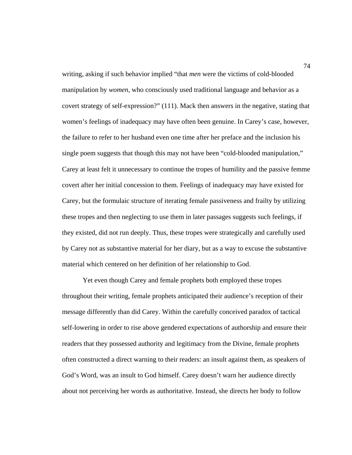writing, asking if such behavior implied "that *men* were the victims of cold-blooded manipulation by *women*, who consciously used traditional language and behavior as a covert strategy of self-expression?" (111). Mack then answers in the negative, stating that women's feelings of inadequacy may have often been genuine. In Carey's case, however, the failure to refer to her husband even one time after her preface and the inclusion his single poem suggests that though this may not have been "cold-blooded manipulation," Carey at least felt it unnecessary to continue the tropes of humility and the passive femme covert after her initial concession to them. Feelings of inadequacy may have existed for Carey, but the formulaic structure of iterating female passiveness and frailty by utilizing these tropes and then neglecting to use them in later passages suggests such feelings, if they existed, did not run deeply. Thus, these tropes were strategically and carefully used by Carey not as substantive material for her diary, but as a way to excuse the substantive material which centered on her definition of her relationship to God.

 Yet even though Carey and female prophets both employed these tropes throughout their writing, female prophets anticipated their audience's reception of their message differently than did Carey. Within the carefully conceived paradox of tactical self-lowering in order to rise above gendered expectations of authorship and ensure their readers that they possessed authority and legitimacy from the Divine, female prophets often constructed a direct warning to their readers: an insult against them, as speakers of God's Word, was an insult to God himself. Carey doesn't warn her audience directly about not perceiving her words as authoritative. Instead, she directs her body to follow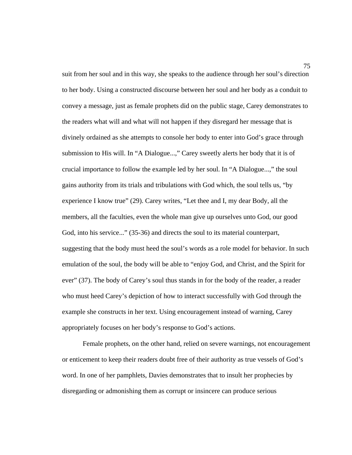suit from her soul and in this way, she speaks to the audience through her soul's direction to her body. Using a constructed discourse between her soul and her body as a conduit to convey a message, just as female prophets did on the public stage, Carey demonstrates to the readers what will and what will not happen if they disregard her message that is divinely ordained as she attempts to console her body to enter into God's grace through submission to His will. In "A Dialogue...," Carey sweetly alerts her body that it is of crucial importance to follow the example led by her soul. In "A Dialogue...," the soul gains authority from its trials and tribulations with God which, the soul tells us, "by experience I know true" (29). Carey writes, "Let thee and I, my dear Body, all the members, all the faculties, even the whole man give up ourselves unto God, our good God, into his service..." (35-36) and directs the soul to its material counterpart, suggesting that the body must heed the soul's words as a role model for behavior. In such emulation of the soul, the body will be able to "enjoy God, and Christ, and the Spirit for ever" (37). The body of Carey's soul thus stands in for the body of the reader, a reader who must heed Carey's depiction of how to interact successfully with God through the example she constructs in her text. Using encouragement instead of warning, Carey appropriately focuses on her body's response to God's actions.

 Female prophets, on the other hand, relied on severe warnings, not encouragement or enticement to keep their readers doubt free of their authority as true vessels of God's word. In one of her pamphlets, Davies demonstrates that to insult her prophecies by disregarding or admonishing them as corrupt or insincere can produce serious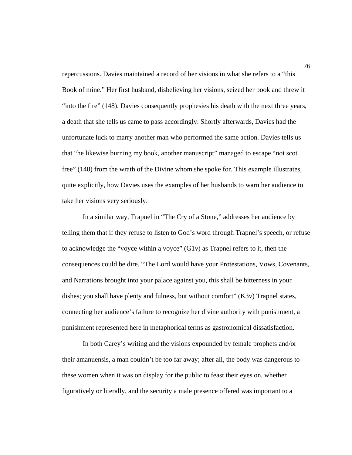repercussions. Davies maintained a record of her visions in what she refers to a "this Book of mine." Her first husband, disbelieving her visions, seized her book and threw it "into the fire" (148). Davies consequently prophesies his death with the next three years, a death that she tells us came to pass accordingly. Shortly afterwards, Davies had the unfortunate luck to marry another man who performed the same action. Davies tells us that "he likewise burning my book, another manuscript" managed to escape "not scot free" (148) from the wrath of the Divine whom she spoke for. This example illustrates, quite explicitly, how Davies uses the examples of her husbands to warn her audience to take her visions very seriously.

 In a similar way, Trapnel in "The Cry of a Stone," addresses her audience by telling them that if they refuse to listen to God's word through Trapnel's speech, or refuse to acknowledge the "voyce within a voyce" (G1v) as Trapnel refers to it, then the consequences could be dire. "The Lord would have your Protestations, Vows, Covenants, and Narrations brought into your palace against you, this shall be bitterness in your dishes; you shall have plenty and fulness, but without comfort" (K3v) Trapnel states, connecting her audience's failure to recognize her divine authority with punishment, a punishment represented here in metaphorical terms as gastronomical dissatisfaction.

 In both Carey's writing and the visions expounded by female prophets and/or their amanuensis, a man couldn't be too far away; after all, the body was dangerous to these women when it was on display for the public to feast their eyes on, whether figuratively or literally, and the security a male presence offered was important to a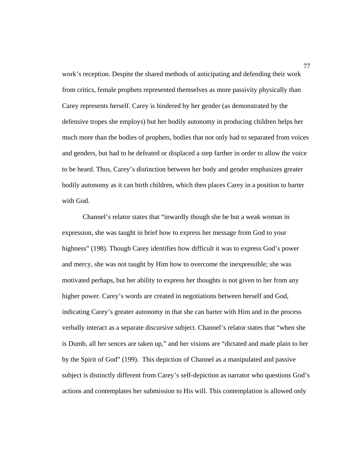work's reception. Despite the shared methods of anticipating and defending their work from critics, female prophets represented themselves as more passivity physically than Carey represents herself. Carey is hindered by her gender (as demonstrated by the defensive tropes she employs) but her bodily autonomy in producing children helps her much more than the bodies of prophets, bodies that not only had to separated from voices and genders, but had to be defeated or displaced a step farther in order to allow the voice to be heard. Thus, Carey's distinction between her body and gender emphasizes greater bodily autonomy as it can birth children, which then places Carey in a position to barter with God.

 Channel's relator states that "inwardly though she be but a weak woman in expression, she was taught in brief how to express her message from God to your highness" (198). Though Carey identifies how difficult it was to express God's power and mercy, she was not taught by Him how to overcome the inexpressible; she was motivated perhaps, but her ability to express her thoughts is not given to her from any higher power. Carey's words are created in negotiations between herself and God, indicating Carey's greater autonomy in that she can barter with Him and in the process verbally interact as a separate discursive subject. Channel's relator states that "when she is Dumb, all her sences are taken up," and her visions are "dictated and made plain to her by the Spirit of God" (199). This depiction of Channel as a manipulated and passive subject is distinctly different from Carey's self-depiction as narrator who questions God's actions and contemplates her submission to His will. This contemplation is allowed only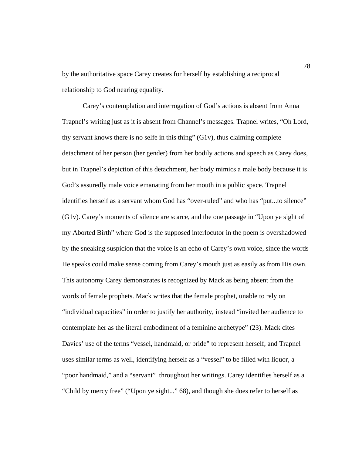by the authoritative space Carey creates for herself by establishing a reciprocal relationship to God nearing equality.

 Carey's contemplation and interrogation of God's actions is absent from Anna Trapnel's writing just as it is absent from Channel's messages. Trapnel writes, "Oh Lord, thy servant knows there is no selfe in this thing"  $(G1v)$ , thus claiming complete detachment of her person (her gender) from her bodily actions and speech as Carey does, but in Trapnel's depiction of this detachment, her body mimics a male body because it is God's assuredly male voice emanating from her mouth in a public space. Trapnel identifies herself as a servant whom God has "over-ruled" and who has "put...to silence" (G1v). Carey's moments of silence are scarce, and the one passage in "Upon ye sight of my Aborted Birth" where God is the supposed interlocutor in the poem is overshadowed by the sneaking suspicion that the voice is an echo of Carey's own voice, since the words He speaks could make sense coming from Carey's mouth just as easily as from His own. This autonomy Carey demonstrates is recognized by Mack as being absent from the words of female prophets. Mack writes that the female prophet, unable to rely on "individual capacities" in order to justify her authority, instead "invited her audience to contemplate her as the literal embodiment of a feminine archetype" (23). Mack cites Davies' use of the terms "vessel, handmaid, or bride" to represent herself, and Trapnel uses similar terms as well, identifying herself as a "vessel" to be filled with liquor, a "poor handmaid," and a "servant" throughout her writings. Carey identifies herself as a "Child by mercy free" ("Upon ye sight..." 68), and though she does refer to herself as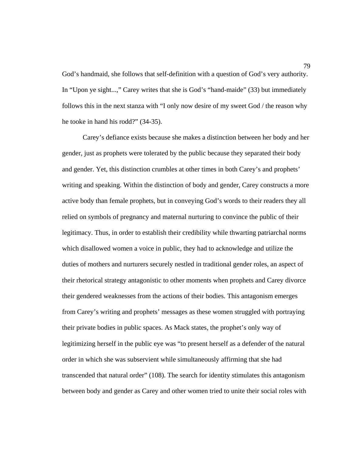God's handmaid, she follows that self-definition with a question of God's very authority. In "Upon ye sight...," Carey writes that she is God's "hand-maide" (33) but immediately follows this in the next stanza with "I only now desire of my sweet God / the reason why he tooke in hand his rodd?" (34-35).

 Carey's defiance exists because she makes a distinction between her body and her gender, just as prophets were tolerated by the public because they separated their body and gender. Yet, this distinction crumbles at other times in both Carey's and prophets' writing and speaking. Within the distinction of body and gender, Carey constructs a more active body than female prophets, but in conveying God's words to their readers they all relied on symbols of pregnancy and maternal nurturing to convince the public of their legitimacy. Thus, in order to establish their credibility while thwarting patriarchal norms which disallowed women a voice in public, they had to acknowledge and utilize the duties of mothers and nurturers securely nestled in traditional gender roles, an aspect of their rhetorical strategy antagonistic to other moments when prophets and Carey divorce their gendered weaknesses from the actions of their bodies. This antagonism emerges from Carey's writing and prophets' messages as these women struggled with portraying their private bodies in public spaces. As Mack states, the prophet's only way of legitimizing herself in the public eye was "to present herself as a defender of the natural order in which she was subservient while simultaneously affirming that she had transcended that natural order" (108). The search for identity stimulates this antagonism between body and gender as Carey and other women tried to unite their social roles with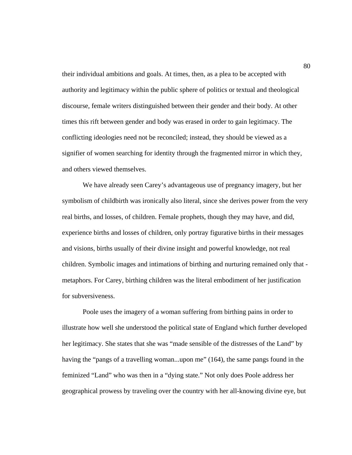their individual ambitions and goals. At times, then, as a plea to be accepted with authority and legitimacy within the public sphere of politics or textual and theological discourse, female writers distinguished between their gender and their body. At other times this rift between gender and body was erased in order to gain legitimacy. The conflicting ideologies need not be reconciled; instead, they should be viewed as a signifier of women searching for identity through the fragmented mirror in which they, and others viewed themselves.

 We have already seen Carey's advantageous use of pregnancy imagery, but her symbolism of childbirth was ironically also literal, since she derives power from the very real births, and losses, of children. Female prophets, though they may have, and did, experience births and losses of children, only portray figurative births in their messages and visions, births usually of their divine insight and powerful knowledge, not real children. Symbolic images and intimations of birthing and nurturing remained only that metaphors. For Carey, birthing children was the literal embodiment of her justification for subversiveness.

 Poole uses the imagery of a woman suffering from birthing pains in order to illustrate how well she understood the political state of England which further developed her legitimacy. She states that she was "made sensible of the distresses of the Land" by having the "pangs of a travelling woman...upon me" (164), the same pangs found in the feminized "Land" who was then in a "dying state." Not only does Poole address her geographical prowess by traveling over the country with her all-knowing divine eye, but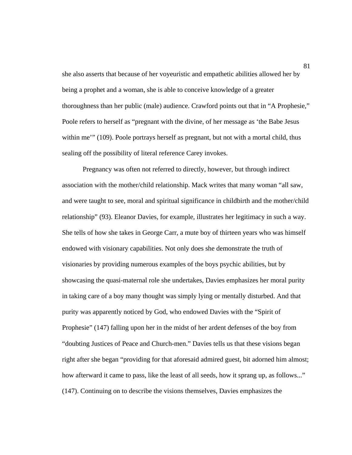she also asserts that because of her voyeuristic and empathetic abilities allowed her by being a prophet and a woman, she is able to conceive knowledge of a greater thoroughness than her public (male) audience. Crawford points out that in "A Prophesie," Poole refers to herself as "pregnant with the divine, of her message as 'the Babe Jesus within me'" (109). Poole portrays herself as pregnant, but not with a mortal child, thus sealing off the possibility of literal reference Carey invokes.

 Pregnancy was often not referred to directly, however, but through indirect association with the mother/child relationship. Mack writes that many woman "all saw, and were taught to see, moral and spiritual significance in childbirth and the mother/child relationship" (93). Eleanor Davies, for example, illustrates her legitimacy in such a way. She tells of how she takes in George Carr, a mute boy of thirteen years who was himself endowed with visionary capabilities. Not only does she demonstrate the truth of visionaries by providing numerous examples of the boys psychic abilities, but by showcasing the quasi-maternal role she undertakes, Davies emphasizes her moral purity in taking care of a boy many thought was simply lying or mentally disturbed. And that purity was apparently noticed by God, who endowed Davies with the "Spirit of Prophesie" (147) falling upon her in the midst of her ardent defenses of the boy from "doubting Justices of Peace and Church-men." Davies tells us that these visions began right after she began "providing for that aforesaid admired guest, bit adorned him almost; how afterward it came to pass, like the least of all seeds, how it sprang up, as follows..." (147). Continuing on to describe the visions themselves, Davies emphasizes the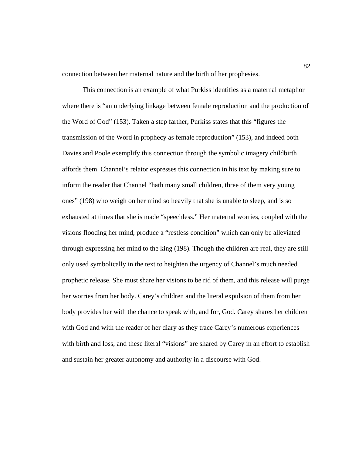connection between her maternal nature and the birth of her prophesies.

 This connection is an example of what Purkiss identifies as a maternal metaphor where there is "an underlying linkage between female reproduction and the production of the Word of God" (153). Taken a step farther, Purkiss states that this "figures the transmission of the Word in prophecy as female reproduction" (153), and indeed both Davies and Poole exemplify this connection through the symbolic imagery childbirth affords them. Channel's relator expresses this connection in his text by making sure to inform the reader that Channel "hath many small children, three of them very young ones" (198) who weigh on her mind so heavily that she is unable to sleep, and is so exhausted at times that she is made "speechless." Her maternal worries, coupled with the visions flooding her mind, produce a "restless condition" which can only be alleviated through expressing her mind to the king (198). Though the children are real, they are still only used symbolically in the text to heighten the urgency of Channel's much needed prophetic release. She must share her visions to be rid of them, and this release will purge her worries from her body. Carey's children and the literal expulsion of them from her body provides her with the chance to speak with, and for, God. Carey shares her children with God and with the reader of her diary as they trace Carey's numerous experiences with birth and loss, and these literal "visions" are shared by Carey in an effort to establish and sustain her greater autonomy and authority in a discourse with God.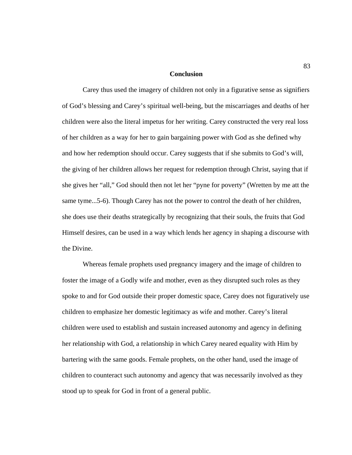## **Conclusion**

 Carey thus used the imagery of children not only in a figurative sense as signifiers of God's blessing and Carey's spiritual well-being, but the miscarriages and deaths of her children were also the literal impetus for her writing. Carey constructed the very real loss of her children as a way for her to gain bargaining power with God as she defined why and how her redemption should occur. Carey suggests that if she submits to God's will, the giving of her children allows her request for redemption through Christ, saying that if she gives her "all," God should then not let her "pyne for poverty" (Wretten by me att the same tyme...5-6). Though Carey has not the power to control the death of her children, she does use their deaths strategically by recognizing that their souls, the fruits that God Himself desires, can be used in a way which lends her agency in shaping a discourse with the Divine.

 Whereas female prophets used pregnancy imagery and the image of children to foster the image of a Godly wife and mother, even as they disrupted such roles as they spoke to and for God outside their proper domestic space, Carey does not figuratively use children to emphasize her domestic legitimacy as wife and mother. Carey's literal children were used to establish and sustain increased autonomy and agency in defining her relationship with God, a relationship in which Carey neared equality with Him by bartering with the same goods. Female prophets, on the other hand, used the image of children to counteract such autonomy and agency that was necessarily involved as they stood up to speak for God in front of a general public.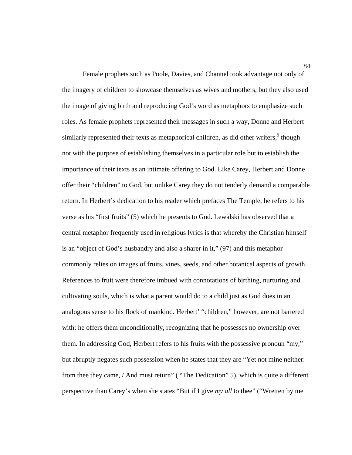Female prophets such as Poole, Davies, and Channel took advantage not only of the imagery of children to showcase themselves as wives and mothers, but they also used the image of giving birth and reproducing God's word as metaphors to emphasize such roles. As female prophets represented their messages in such a way, Donne and Herbert similarly represented their texts as metaphorical children, as did other writers,  $9$  though not with the purpose of establishing themselves in a particular role but to establish the importance of their texts as an intimate offering to God. Like Carey, Herbert and Donne offer their "children" to God, but unlike Carey they do not tenderly demand a comparable return. In Herbert's dedication to his reader which prefaces The Temple, he refers to his verse as his "first fruits" (5) which he presents to God. Lewalski has observed that a central metaphor frequently used in religious lyrics is that whereby the Christian himself is an "object of God's husbandry and also a sharer in it," (97) and this metaphor commonly relies on images of fruits, vines, seeds, and other botanical aspects of growth. References to fruit were therefore imbued with connotations of birthing, nurturing and cultivating souls, which is what a parent would do to a child just as God does in an analogous sense to his flock of mankind. Herbert' "children," however, are not bartered with; he offers them unconditionally, recognizing that he possesses no ownership over them. In addressing God, Herbert refers to his fruits with the possessive pronoun "my," but abruptly negates such possession when he states that they are "Yet not mine neither: from thee they came, / And must return" ( "The Dedication" 5), which is quite a different perspective than Carey's when she states "But if I give *my all* to thee" ("Wretten by me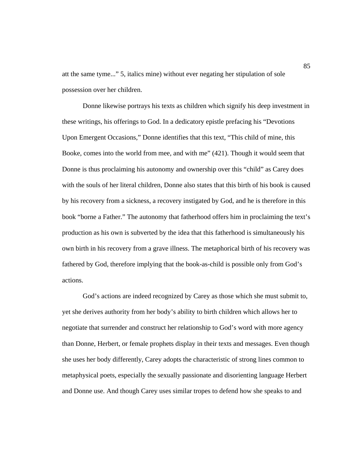att the same tyme..." 5, italics mine) without ever negating her stipulation of sole possession over her children.

 Donne likewise portrays his texts as children which signify his deep investment in these writings, his offerings to God. In a dedicatory epistle prefacing his "Devotions Upon Emergent Occasions," Donne identifies that this text, "This child of mine, this Booke, comes into the world from mee, and with me" (421). Though it would seem that Donne is thus proclaiming his autonomy and ownership over this "child" as Carey does with the souls of her literal children, Donne also states that this birth of his book is caused by his recovery from a sickness, a recovery instigated by God, and he is therefore in this book "borne a Father." The autonomy that fatherhood offers him in proclaiming the text's production as his own is subverted by the idea that this fatherhood is simultaneously his own birth in his recovery from a grave illness. The metaphorical birth of his recovery was fathered by God, therefore implying that the book-as-child is possible only from God's actions.

 God's actions are indeed recognized by Carey as those which she must submit to, yet she derives authority from her body's ability to birth children which allows her to negotiate that surrender and construct her relationship to God's word with more agency than Donne, Herbert, or female prophets display in their texts and messages. Even though she uses her body differently, Carey adopts the characteristic of strong lines common to metaphysical poets, especially the sexually passionate and disorienting language Herbert and Donne use. And though Carey uses similar tropes to defend how she speaks to and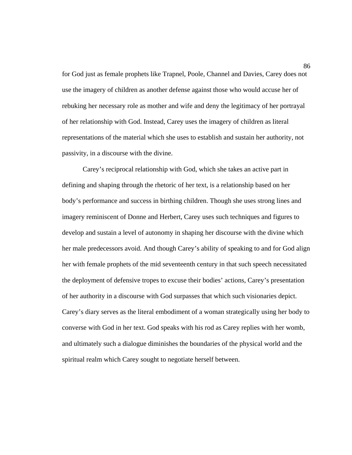for God just as female prophets like Trapnel, Poole, Channel and Davies, Carey does not use the imagery of children as another defense against those who would accuse her of rebuking her necessary role as mother and wife and deny the legitimacy of her portrayal of her relationship with God. Instead, Carey uses the imagery of children as literal representations of the material which she uses to establish and sustain her authority, not passivity, in a discourse with the divine.

 Carey's reciprocal relationship with God, which she takes an active part in defining and shaping through the rhetoric of her text, is a relationship based on her body's performance and success in birthing children. Though she uses strong lines and imagery reminiscent of Donne and Herbert, Carey uses such techniques and figures to develop and sustain a level of autonomy in shaping her discourse with the divine which her male predecessors avoid. And though Carey's ability of speaking to and for God align her with female prophets of the mid seventeenth century in that such speech necessitated the deployment of defensive tropes to excuse their bodies' actions, Carey's presentation of her authority in a discourse with God surpasses that which such visionaries depict. Carey's diary serves as the literal embodiment of a woman strategically using her body to converse with God in her text. God speaks with his rod as Carey replies with her womb, and ultimately such a dialogue diminishes the boundaries of the physical world and the spiritual realm which Carey sought to negotiate herself between.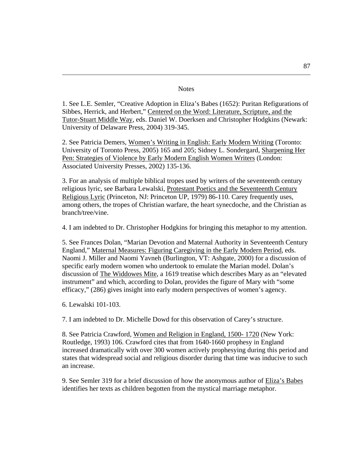## **Notes**

1. See L.E. Semler, "Creative Adoption in Eliza's Babes (1652): Puritan Refigurations of Sibbes, Herrick, and Herbert," Centered on the Word: Literature, Scripture, and the Tutor-Stuart Middle Way, eds. Daniel W. Doerksen and Christopher Hodgkins (Newark: University of Delaware Press, 2004) 319-345.

2. See Patricia Demers, Women's Writing in English: Early Modern Writing (Toronto: University of Toronto Press, 2005) 165 and 205; Sidney L. Sondergard, Sharpening Her Pen: Strategies of Violence by Early Modern English Women Writers (London: Associated University Presses, 2002) 135-136.

3. For an analysis of multiple biblical tropes used by writers of the seventeenth century religious lyric, see Barbara Lewalski, Protestant Poetics and the Seventeenth Century Religious Lyric (Princeton, NJ: Princeton UP, 1979) 86-110. Carey frequently uses, among others, the tropes of Christian warfare, the heart synecdoche, and the Christian as branch/tree/vine.

4. I am indebted to Dr. Christopher Hodgkins for bringing this metaphor to my attention.

5. See Frances Dolan, "Marian Devotion and Maternal Authority in Seventeenth Century England," Maternal Measures: Figuring Caregiving in the Early Modern Period, eds. Naomi J. Miller and Naomi Yavneh (Burlington, VT: Ashgate, 2000) for a discussion of specific early modern women who undertook to emulate the Marian model. Dolan's discussion of The Widdowes Mite, a 1619 treatise which describes Mary as an "elevated instrument" and which, according to Dolan, provides the figure of Mary with "some efficacy," (286) gives insight into early modern perspectives of women's agency.

6. Lewalski 101-103.

 $\overline{a}$ 

7. I am indebted to Dr. Michelle Dowd for this observation of Carey's structure.

8. See Patricia Crawford, Women and Religion in England, 1500- 1720 (New York: Routledge, 1993) 106. Crawford cites that from 1640-1660 prophesy in England increased dramatically with over 300 women actively prophesying during this period and states that widespread social and religious disorder during that time was inducive to such an increase.

9. See Semler 319 for a brief discussion of how the anonymous author of Eliza's Babes identifies her texts as children begotten from the mystical marriage metaphor.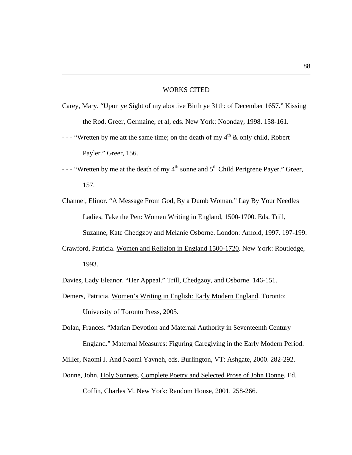## WORKS CITED

 $\overline{a}$ 

- Carey, Mary. "Upon ye Sight of my abortive Birth ye 31th: of December 1657." Kissing the Rod. Greer, Germaine, et al, eds. New York: Noonday, 1998. 158-161.
- - "Wretten by me att the same time; on the death of my  $4<sup>th</sup>$  & only child, Robert Payler." Greer, 156.
- - "Wretten by me at the death of my  $4<sup>th</sup>$  sonne and  $5<sup>th</sup>$  Child Perigrene Payer." Greer, 157.
- Channel, Elinor. "A Message From God, By a Dumb Woman." Lay By Your Needles Ladies, Take the Pen: Women Writing in England, 1500-1700. Eds. Trill, Suzanne, Kate Chedgzoy and Melanie Osborne. London: Arnold, 1997. 197-199.
- Crawford, Patricia. Women and Religion in England 1500-1720. New York: Routledge, 1993.
- Davies, Lady Eleanor. "Her Appeal." Trill, Chedgzoy, and Osborne. 146-151.
- Demers, Patricia. Women's Writing in English: Early Modern England. Toronto: University of Toronto Press, 2005.
- Dolan, Frances. "Marian Devotion and Maternal Authority in Seventeenth Century England." Maternal Measures: Figuring Caregiving in the Early Modern Period.
- Miller, Naomi J. And Naomi Yavneh, eds. Burlington, VT: Ashgate, 2000. 282-292.
- Donne, John. Holy Sonnets. Complete Poetry and Selected Prose of John Donne. Ed. Coffin, Charles M. New York: Random House, 2001. 258-266.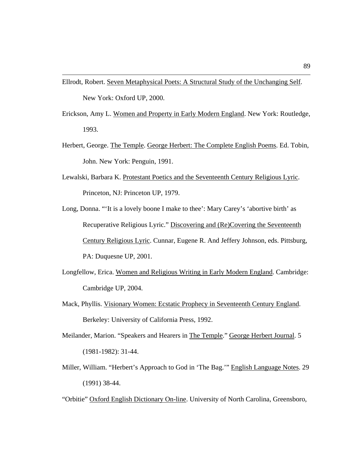Ellrodt, Robert. Seven Metaphysical Poets: A Structural Study of the Unchanging Self. New York: Oxford UP, 2000.

 $\overline{a}$ 

- Erickson, Amy L. Women and Property in Early Modern England. New York: Routledge, 1993.
- Herbert, George. The Temple. George Herbert: The Complete English Poems. Ed. Tobin, John. New York: Penguin, 1991.
- Lewalski, Barbara K. Protestant Poetics and the Seventeenth Century Religious Lyric. Princeton, NJ: Princeton UP, 1979.
- Long, Donna. "'It is a lovely boone I make to thee': Mary Carey's 'abortive birth' as Recuperative Religious Lyric." Discovering and (Re)Covering the Seventeenth Century Religious Lyric. Cunnar, Eugene R. And Jeffery Johnson, eds. Pittsburg, PA: Duquesne UP, 2001.
- Longfellow, Erica. Women and Religious Writing in Early Modern England. Cambridge: Cambridge UP, 2004.
- Mack, Phyllis. Visionary Women: Ecstatic Prophecy in Seventeenth Century England. Berkeley: University of California Press, 1992.
- Meilander, Marion. "Speakers and Hearers in The Temple." George Herbert Journal. 5 (1981-1982): 31-44.
- Miller, William. "Herbert's Approach to God in 'The Bag.'" English Language Notes. 29 (1991) 38-44.
- "Orbitie" Oxford English Dictionary On-line. University of North Carolina, Greensboro,